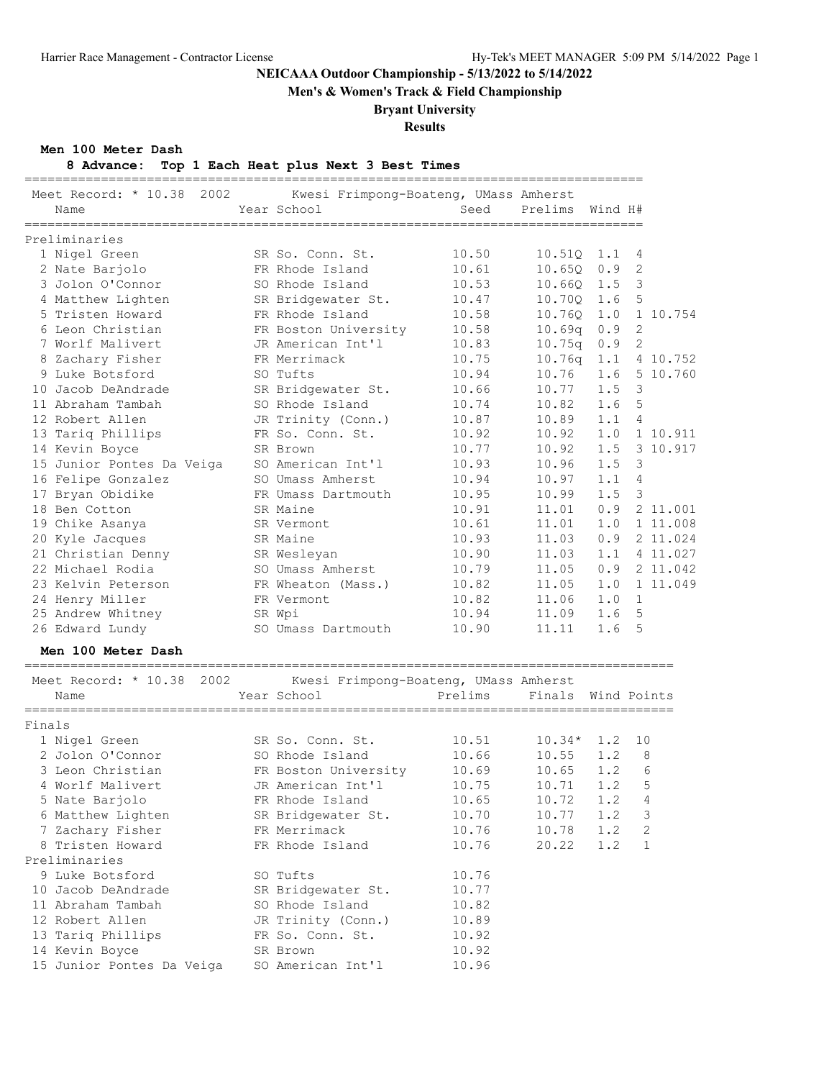**Men's & Women's Track & Field Championship**

### **Bryant University**

**Results**

**Men 100 Meter Dash**

### **8 Advance: Top 1 Each Heat plus Next 3 Best Times**

 14 Kevin Boyce SR Brown 10.92 15 Junior Pontes Da Veiga SO American Int'l 10.96

| 2002<br>Meet Record: * 10.38<br>Name                    |      | Kwesi Frimpong-Boateng, UMass Amherst<br>Year School | Seed    | Prelims Wind H#    |     |               |
|---------------------------------------------------------|------|------------------------------------------------------|---------|--------------------|-----|---------------|
| Preliminaries                                           |      |                                                      |         |                    |     |               |
| 1 Nigel Green                                           |      | SR So. Conn. St.                                     | 10.50   | $10.51Q$ 1.1 4     |     |               |
| 2 Nate Barjolo                                          |      | FR Rhode Island                                      | 10.61   | 10.65Q             | 0.9 | 2             |
| 3 Jolon O'Connor                                        |      | SO Rhode Island                                      | 10.53   | 10.66Q             | 1.5 | $\mathcal{S}$ |
| 4 Matthew Lighten                                       |      | SR Bridgewater St.                                   | 10.47   | 10.70Q             | 1.6 | 5             |
| 5 Tristen Howard                                        |      | FR Rhode Island                                      | 10.58   | 10.760             | 1.0 | 1 10.754      |
| 6 Leon Christian                                        |      | FR Boston University                                 | 10.58   | 10.69q             | 0.9 | 2             |
| 7 Worlf Malivert                                        |      | JR American Int'l                                    | 10.83   | 10.75q             | 0.9 | 2             |
| 8 Zachary Fisher                                        |      | FR Merrimack                                         | 10.75   | 10.76q             | 1.1 | 4 10.752      |
| 9 Luke Botsford                                         |      | SO Tufts                                             | 10.94   | 10.76              | 1.6 | 5 10.760      |
| 10 Jacob DeAndrade                                      |      | SR Bridgewater St.                                   | 10.66   | 10.77              | 1.5 | 3             |
| 11 Abraham Tambah                                       |      | SO Rhode Island                                      | 10.74   | 10.82              | 1.6 | 5             |
| 12 Robert Allen                                         |      | JR Trinity (Conn.)                                   | 10.87   | 10.89              | 1.1 | 4             |
| 13 Tariq Phillips                                       |      | FR So. Conn. St.                                     | 10.92   | 10.92              | 1.0 | 1 10.911      |
|                                                         |      | SR Brown                                             | 10.77   | 10.92              | 1.5 | 3 10.917      |
| 14 Kevin Boyce                                          |      |                                                      |         |                    | 1.5 |               |
| 15 Junior Pontes Da Veiga                               |      | SO American Int'l<br>SO Umass Amherst                | 10.93   | 10.96              |     | 3             |
| 16 Felipe Gonzalez                                      |      |                                                      | 10.94   | 10.97              | 1.1 | 4             |
| 17 Bryan Obidike                                        |      | FR Umass Dartmouth                                   | 10.95   | 10.99              | 1.5 | $\mathcal{E}$ |
| 18 Ben Cotton                                           |      | SR Maine                                             | 10.91   | 11.01              | 0.9 | 2 11.001      |
| 19 Chike Asanya                                         |      | SR Vermont                                           | 10.61   | 11.01              | 1.0 | 1 11.008      |
| 20 Kyle Jacques                                         |      | SR Maine                                             | 10.93   | 11.03              | 0.9 | 2 11.024      |
| 21 Christian Denny                                      |      | SR Wesleyan                                          | 10.90   | 11.03              | 1.1 | 4 11.027      |
| 22 Michael Rodia                                        |      | SO Umass Amherst                                     | 10.79   | 11.05              | 0.9 | 2 11.042      |
| 23 Kelvin Peterson                                      |      | FR Wheaton (Mass.)                                   | 10.82   | 11.05              | 1.0 | 1 11.049      |
| 24 Henry Miller                                         |      | FR Vermont                                           | 10.82   | 11.06              | 1.0 | $\mathbf{1}$  |
| 25 Andrew Whitney                                       |      | SR Wpi                                               | 10.94   | 11.09              | 1.6 | 5             |
| 26 Edward Lundy                                         |      | SO Umass Dartmouth                                   | 10.90   | 11.11              | 1.6 | 5             |
| Men 100 Meter Dash<br>_________________________________ |      |                                                      |         |                    |     |               |
| Meet Record: * 10.38                                    | 2002 | Kwesi Frimpong-Boateng, UMass Amherst                |         |                    |     |               |
| Name<br>===============                                 |      | Year School                                          | Prelims | Finals Wind Points |     |               |
| Finals                                                  |      |                                                      |         |                    |     |               |
| 1 Nigel Green                                           |      | SR So. Conn. St.                                     | 10.51   | 10.34*             | 1.2 | 10            |
| 2 Jolon O'Connor                                        |      | SO Rhode Island                                      | 10.66   | 10.55              | 1.2 | 8             |
| 3 Leon Christian                                        |      | FR Boston University                                 | 10.69   | 10.65              | 1.2 | 6             |
| 4 Worlf Malivert                                        |      | JR American Int'l                                    | 10.75   | 10.71              | 1.2 | 5             |
| 5 Nate Barjolo                                          |      | FR Rhode Island                                      | 10.65   | 10.72              | 1.2 | 4             |
| 6 Matthew Lighten                                       |      | SR Bridgewater St.                                   | 10.70   | 10.77              | 1.2 | 3             |
| 7 Zachary Fisher                                        |      | FR Merrimack                                         | 10.76   | 10.78              | 1.2 | 2             |
| 8 Tristen Howard                                        |      | FR Rhode Island                                      | 10.76   | 20.22              | 1.2 | $\mathbf{1}$  |
| Preliminaries                                           |      |                                                      |         |                    |     |               |
| 9 Luke Botsford                                         |      | SO Tufts                                             | 10.76   |                    |     |               |
| 10 Jacob DeAndrade                                      |      | SR Bridgewater St.                                   | 10.77   |                    |     |               |
| 11 Abraham Tambah                                       |      | SO Rhode Island                                      | 10.82   |                    |     |               |
| 12 Robert Allen                                         |      | JR Trinity (Conn.)                                   | 10.89   |                    |     |               |
| 13 Tariq Phillips                                       |      | FR So. Conn. St.                                     | 10.92   |                    |     |               |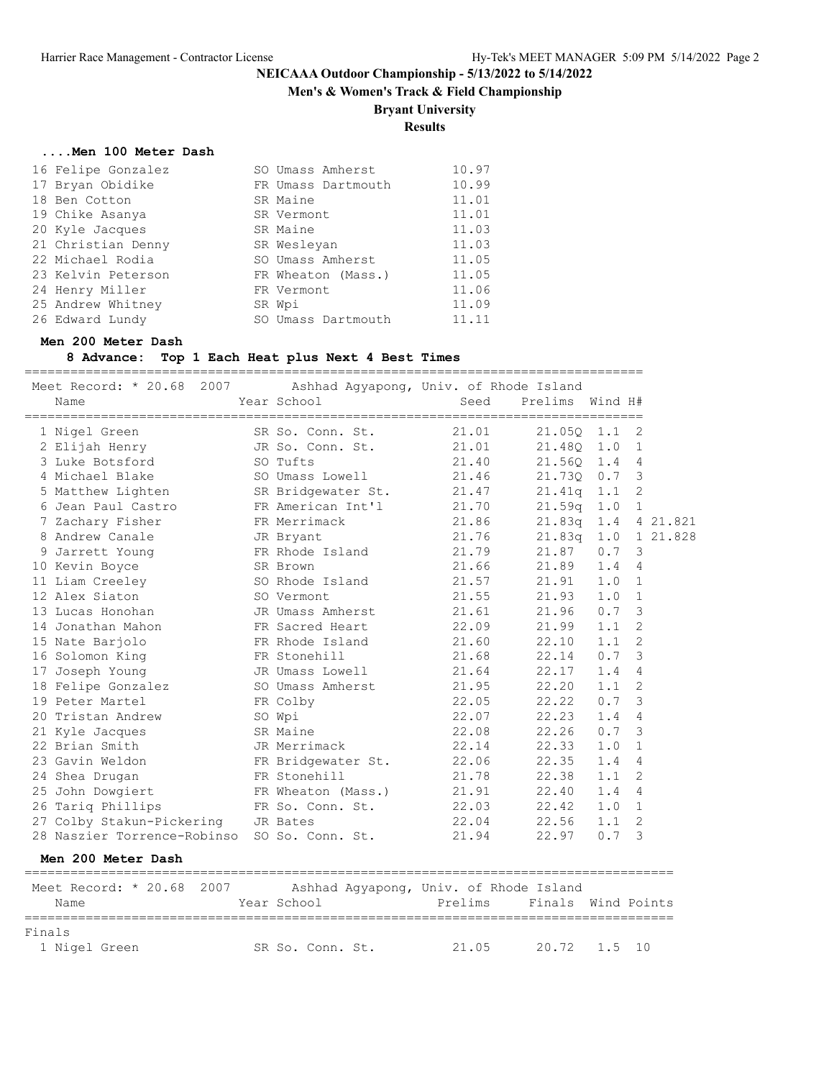**Men's & Women's Track & Field Championship**

### **Bryant University**

### **Results**

#### **....Men 100 Meter Dash**

| 16 Felipe Gonzalez | SO Umass Amherst   | 10.97 |
|--------------------|--------------------|-------|
| 17 Bryan Obidike   | FR Umass Dartmouth | 10.99 |
| 18 Ben Cotton      | SR Maine           | 11.01 |
| 19 Chike Asanya    | SR Vermont         | 11.01 |
| 20 Kyle Jacques    | SR Maine           | 11.03 |
| 21 Christian Denny | SR Wesleyan        | 11.03 |
| 22 Michael Rodia   | SO Umass Amherst   | 11.05 |
| 23 Kelvin Peterson | FR Wheaton (Mass.) | 11.05 |
| 24 Henry Miller    | FR Vermont         | 11.06 |
| 25 Andrew Whitney  | SR Wpi             | 11.09 |
| 26 Edward Lundy    | SO Umass Dartmouth | 11.11 |

#### **Men 200 Meter Dash**

**8 Advance: Top 1 Each Heat plus Next 4 Best Times**

| 1 Nigel Green SR So. Conn. St. 21.01 21.050 1.1 2<br>2 Elijah Henry JR So. Conn. St. 21.01 21.480 1.0 1<br>1 Nigel Green<br>3 Luke Botsford SO Tufts                                                                                     |                                    |                    |               |   |  |
|------------------------------------------------------------------------------------------------------------------------------------------------------------------------------------------------------------------------------------------|------------------------------------|--------------------|---------------|---|--|
|                                                                                                                                                                                                                                          |                                    |                    |               |   |  |
|                                                                                                                                                                                                                                          |                                    |                    |               |   |  |
|                                                                                                                                                                                                                                          |                                    | 21.40 21.56Q 1.4 4 |               |   |  |
| 4 Michael Blake 50 Umass Lowell 21.46 21.730 0.7 3                                                                                                                                                                                       |                                    |                    |               |   |  |
| 5 Matthew Lighten SR Bridgewater St. 21.47 21.41q 1.1 2                                                                                                                                                                                  |                                    |                    |               |   |  |
|                                                                                                                                                                                                                                          |                                    |                    |               |   |  |
| 6 Jean Paul Castro FR American Int'l<br>7 Zachary Fisher FR Merrimack 21.70 21.59q 1.0 1<br>8 Andrew Canale JR Bryant 21.76 21.83q 1.0 1 21.828                                                                                          |                                    |                    |               |   |  |
|                                                                                                                                                                                                                                          |                                    |                    |               |   |  |
| 9 Jarrett Young FR Rhode Island 21.79 21.87                                                                                                                                                                                              |                                    |                    | $0.7 \quad 3$ |   |  |
| 10 Kevin Boyce SR Brown                                                                                                                                                                                                                  |                                    | 21.66 21.89 1.4 4  |               |   |  |
| 11 Liam Creeley 50 Rhode Island 21.57 21.91 1.0 1                                                                                                                                                                                        |                                    |                    |               |   |  |
| 12 Alex Siaton                                                                                                                                                                                                                           | SO Vermont                         | 21.55 21.93 1.0 1  |               |   |  |
| 13 Lucas Honohan                                                                                                                                                                                                                         | JR Umass Amherst 21.61 21.96 0.7 3 |                    |               |   |  |
| 14 Jonathan Mahon                                                                                                                                                                                                                        | FR Sacred Heart 22.09 21.99        |                    | 1.1           | 2 |  |
| 15 Nate Barjolo <b>ER</b> Rhode Island 21.60 22.10                                                                                                                                                                                       |                                    |                    | $1.1 \t2$     |   |  |
| 16 Solomon King TR Stonehill 21.68 22.14                                                                                                                                                                                                 |                                    |                    | $0.7 \quad 3$ |   |  |
| 17 Joseph Young TR Umass Lowell 21.64 22.17                                                                                                                                                                                              |                                    |                    | 1.44          |   |  |
| 18 Felipe Gonzalez SO Umass Amherst                                                                                                                                                                                                      |                                    | 21.95 22.20        | $1.1 \quad 2$ |   |  |
| 19 Peter Martel FR Colby                                                                                                                                                                                                                 |                                    | 22.05 22.22        | $0.7 \quad 3$ |   |  |
| 20 Tristan Andrew SO Wpi                                                                                                                                                                                                                 |                                    | 22.07 22.23        | 1.44          |   |  |
| 21 Kyle Jacques SR Maine                                                                                                                                                                                                                 |                                    | 22.08 22.26        | $0.7 \quad 3$ |   |  |
| 22 Brian Smith CD UR Merrimack 22.14 22.33                                                                                                                                                                                               |                                    |                    | $1.0 \quad 1$ |   |  |
| 23 Gavin Weldon<br>23 Gavin Weldon<br>24 Shea Drugan<br>24 Shea Drugan<br>21 Shea Drugan<br>21 Shea Drugan<br>22 Shea Drugan<br>22 Shea Drugan<br>22 Shea Drugan<br>22 Shea Drugan<br>22 Shea Drugan<br>22 Shea Drugan<br>22 Shea Drugan |                                    |                    |               |   |  |
|                                                                                                                                                                                                                                          |                                    |                    |               |   |  |
| 25 John Dowgiert FR Wheaton (Mass.) 21.91 22.40                                                                                                                                                                                          |                                    |                    | 1.44          |   |  |
| 26 Tariq Phillips FR So. Conn. St. 22.03 22.42                                                                                                                                                                                           |                                    |                    | 1.0 1         |   |  |
| 27 Colby Stakun-Pickering JR Bates                                                                                                                                                                                                       |                                    | 22.04 22.56        | $1.1 \quad 2$ |   |  |
| 28 Naszier Torrence-Robinso SO So. Conn. St. 21.94 22.97                                                                                                                                                                                 |                                    |                    | $0.7 \quad 3$ |   |  |
| Men 200 Meter Dash                                                                                                                                                                                                                       |                                    |                    |               |   |  |

| Meet Record: * 20.68 2007<br>Name | Ashhad Aqyapong, Univ. of Rhode Island<br>Year School | Prelims | Finals Wind Points |  |
|-----------------------------------|-------------------------------------------------------|---------|--------------------|--|
| Finals<br>1 Nigel Green           | SR So. Conn. St.                                      | 21.05   | 20.72 1.5 10       |  |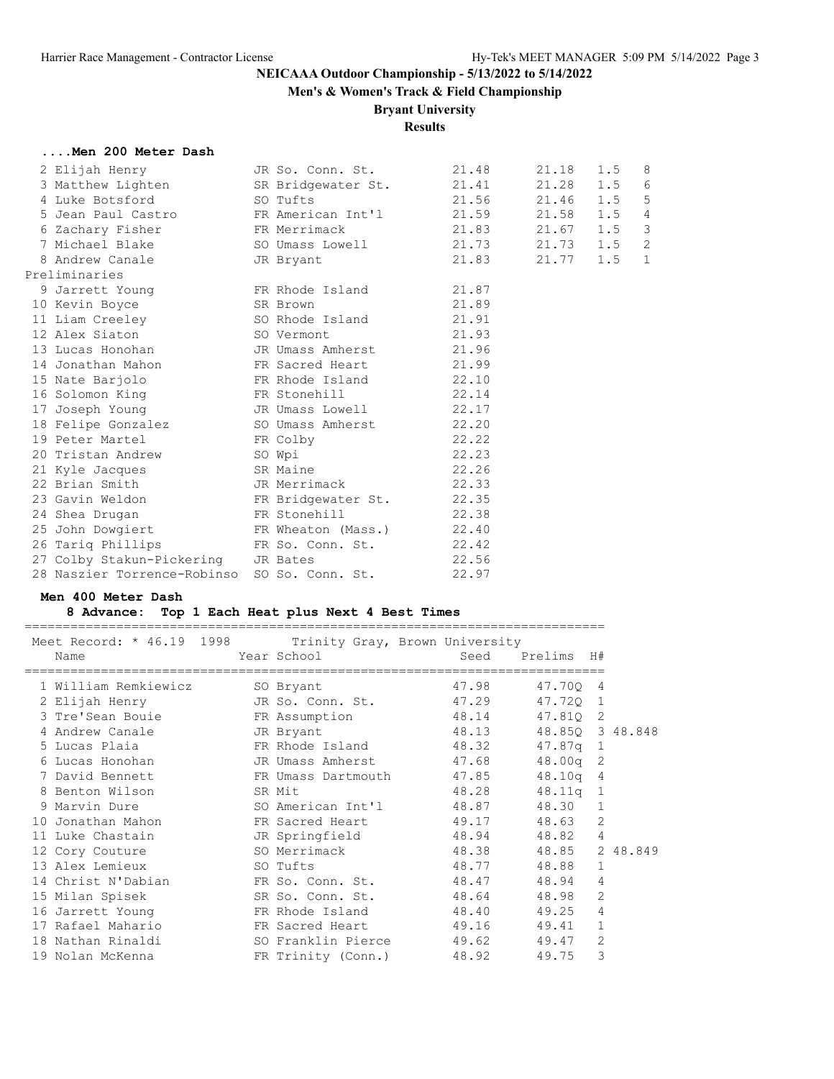**Men's & Women's Track & Field Championship**

### **Bryant University**

### **Results**

#### **....Men 200 Meter Dash**

|                                                                                                            | 21.48                                                                                                                                                                                                                        |                                                                                                                                                                                                                                                                                                                                                                                                                                                                                                                                                                                                                        | 1.5                                                                                                                                                                                        | 8                                                                                            |
|------------------------------------------------------------------------------------------------------------|------------------------------------------------------------------------------------------------------------------------------------------------------------------------------------------------------------------------------|------------------------------------------------------------------------------------------------------------------------------------------------------------------------------------------------------------------------------------------------------------------------------------------------------------------------------------------------------------------------------------------------------------------------------------------------------------------------------------------------------------------------------------------------------------------------------------------------------------------------|--------------------------------------------------------------------------------------------------------------------------------------------------------------------------------------------|----------------------------------------------------------------------------------------------|
|                                                                                                            |                                                                                                                                                                                                                              |                                                                                                                                                                                                                                                                                                                                                                                                                                                                                                                                                                                                                        |                                                                                                                                                                                            | 6                                                                                            |
|                                                                                                            |                                                                                                                                                                                                                              |                                                                                                                                                                                                                                                                                                                                                                                                                                                                                                                                                                                                                        | 1.5                                                                                                                                                                                        | 5                                                                                            |
|                                                                                                            |                                                                                                                                                                                                                              |                                                                                                                                                                                                                                                                                                                                                                                                                                                                                                                                                                                                                        |                                                                                                                                                                                            | $\overline{4}$                                                                               |
|                                                                                                            |                                                                                                                                                                                                                              |                                                                                                                                                                                                                                                                                                                                                                                                                                                                                                                                                                                                                        |                                                                                                                                                                                            | $\mathcal{S}$                                                                                |
|                                                                                                            |                                                                                                                                                                                                                              |                                                                                                                                                                                                                                                                                                                                                                                                                                                                                                                                                                                                                        |                                                                                                                                                                                            | $\overline{c}$                                                                               |
|                                                                                                            |                                                                                                                                                                                                                              |                                                                                                                                                                                                                                                                                                                                                                                                                                                                                                                                                                                                                        |                                                                                                                                                                                            | $\mathbf{1}$                                                                                 |
|                                                                                                            |                                                                                                                                                                                                                              |                                                                                                                                                                                                                                                                                                                                                                                                                                                                                                                                                                                                                        |                                                                                                                                                                                            |                                                                                              |
|                                                                                                            |                                                                                                                                                                                                                              |                                                                                                                                                                                                                                                                                                                                                                                                                                                                                                                                                                                                                        |                                                                                                                                                                                            |                                                                                              |
|                                                                                                            | 21.89                                                                                                                                                                                                                        |                                                                                                                                                                                                                                                                                                                                                                                                                                                                                                                                                                                                                        |                                                                                                                                                                                            |                                                                                              |
|                                                                                                            | 21.91                                                                                                                                                                                                                        |                                                                                                                                                                                                                                                                                                                                                                                                                                                                                                                                                                                                                        |                                                                                                                                                                                            |                                                                                              |
|                                                                                                            | 21.93                                                                                                                                                                                                                        |                                                                                                                                                                                                                                                                                                                                                                                                                                                                                                                                                                                                                        |                                                                                                                                                                                            |                                                                                              |
|                                                                                                            |                                                                                                                                                                                                                              |                                                                                                                                                                                                                                                                                                                                                                                                                                                                                                                                                                                                                        |                                                                                                                                                                                            |                                                                                              |
|                                                                                                            | 21.99                                                                                                                                                                                                                        |                                                                                                                                                                                                                                                                                                                                                                                                                                                                                                                                                                                                                        |                                                                                                                                                                                            |                                                                                              |
|                                                                                                            |                                                                                                                                                                                                                              |                                                                                                                                                                                                                                                                                                                                                                                                                                                                                                                                                                                                                        |                                                                                                                                                                                            |                                                                                              |
|                                                                                                            |                                                                                                                                                                                                                              |                                                                                                                                                                                                                                                                                                                                                                                                                                                                                                                                                                                                                        |                                                                                                                                                                                            |                                                                                              |
|                                                                                                            |                                                                                                                                                                                                                              |                                                                                                                                                                                                                                                                                                                                                                                                                                                                                                                                                                                                                        |                                                                                                                                                                                            |                                                                                              |
|                                                                                                            |                                                                                                                                                                                                                              |                                                                                                                                                                                                                                                                                                                                                                                                                                                                                                                                                                                                                        |                                                                                                                                                                                            |                                                                                              |
|                                                                                                            |                                                                                                                                                                                                                              |                                                                                                                                                                                                                                                                                                                                                                                                                                                                                                                                                                                                                        |                                                                                                                                                                                            |                                                                                              |
|                                                                                                            | 22.23                                                                                                                                                                                                                        |                                                                                                                                                                                                                                                                                                                                                                                                                                                                                                                                                                                                                        |                                                                                                                                                                                            |                                                                                              |
|                                                                                                            |                                                                                                                                                                                                                              |                                                                                                                                                                                                                                                                                                                                                                                                                                                                                                                                                                                                                        |                                                                                                                                                                                            |                                                                                              |
|                                                                                                            |                                                                                                                                                                                                                              |                                                                                                                                                                                                                                                                                                                                                                                                                                                                                                                                                                                                                        |                                                                                                                                                                                            |                                                                                              |
|                                                                                                            |                                                                                                                                                                                                                              |                                                                                                                                                                                                                                                                                                                                                                                                                                                                                                                                                                                                                        |                                                                                                                                                                                            |                                                                                              |
|                                                                                                            |                                                                                                                                                                                                                              |                                                                                                                                                                                                                                                                                                                                                                                                                                                                                                                                                                                                                        |                                                                                                                                                                                            |                                                                                              |
|                                                                                                            |                                                                                                                                                                                                                              |                                                                                                                                                                                                                                                                                                                                                                                                                                                                                                                                                                                                                        |                                                                                                                                                                                            |                                                                                              |
|                                                                                                            |                                                                                                                                                                                                                              |                                                                                                                                                                                                                                                                                                                                                                                                                                                                                                                                                                                                                        |                                                                                                                                                                                            |                                                                                              |
|                                                                                                            |                                                                                                                                                                                                                              |                                                                                                                                                                                                                                                                                                                                                                                                                                                                                                                                                                                                                        |                                                                                                                                                                                            |                                                                                              |
|                                                                                                            | 22.97                                                                                                                                                                                                                        |                                                                                                                                                                                                                                                                                                                                                                                                                                                                                                                                                                                                                        |                                                                                                                                                                                            |                                                                                              |
| Preliminaries<br>10 Kevin Boyce<br>15 Nate Barjolo<br>17 Joseph Young<br>19 Peter Martel<br>24 Shea Drugan | 4 Luke Botsford SO Tufts<br>8 Andrew Canale Gas JR Bryant<br>SR Brown<br>12 Alex Siaton SO Vermont<br>FR Colby<br>20 Tristan Andrew SO Wpi<br>21 Kyle Jacques SR Maine<br>FR Stonehill<br>27 Colby Stakun-Pickering JR Bates | 2 Elijah Henry SD. Conn. St.<br>9 Jarrett Young FR Rhode Island 21.87<br>11 Liam Creeley 60 Rhode Island<br>13 Lucas Honohan TR Umass Amherst 21.96<br>14 Jonathan Mahon National Press Sacred Heart<br>FR Rhode Island 22.10<br>16 Solomon King 6 ER Stonehill 22.14<br>JR Umass Lowell 22.17<br>18 Felipe Gonzalez SO Umass Amherst 22.20<br>22.22<br>22.26<br>22 Brian Smith Communist CD JR Merrimack 22.33<br>23 Gavin Weldon FR Bridgewater St. 22.35<br>22.38<br>25 John Dowgiert FR Wheaton (Mass.) 22.40<br>26 Tariq Phillips FR So. Conn. St. 22.42<br>22.56<br>28 Naszier Torrence-Robinso SO So. Conn. St. | 3 Matthew Lighten SR Bridgewater St. 21.41<br>21.56<br>5 Jean Paul Castro FR American Int'l 21.59<br>6 Zachary Fisher FR Merrimack 21.83<br>7 Michael Blake SO Umass Lowell 21.73<br>21.83 | 21.18<br>21.28 1.5<br>21.46<br>21.58<br>1.5<br>$21.67$ $1.5$<br>1.5<br>21.73<br>1.5<br>21.77 |

#### **Men 400 Meter Dash**

### **8 Advance: Top 1 Each Heat plus Next 4 Best Times**

============================================================================

|      |                             | Meet Record: * 46.19 1998 Trinity Gray, Brown University         |       |                 |                |          |
|------|-----------------------------|------------------------------------------------------------------|-------|-----------------|----------------|----------|
| Name |                             | <b>Example 2</b> Year School                                     |       | Seed Prelims H# |                |          |
|      | 1 William Remkiewicz        | SO Bryant                                                        | 47.98 | 47.700 4        |                |          |
|      |                             | 2 Elijah Henry So. Conn. St. 47.29                               |       | 47.720 1        |                |          |
|      |                             | 3 Tre'Sean Bouie 6 FR Assumption                                 | 48.14 | 47.810 2        |                |          |
|      | 4 Andrew Canale             | JR Bryant                                                        | 48.13 | 48.850 3 48.848 |                |          |
|      | 5 Lucas Plaia               | FR Rhode Island 48.32                                            |       | 47.87g 1        |                |          |
|      |                             | 6 Lucas Honohan               JR Umass Amherst             47.68 |       | $48.00q$ 2      |                |          |
|      | 7 David Bennett             | FR Umass Dartmouth 47.85                                         |       | $48.10q$ 4      |                |          |
|      | 8 Benton Wilson             | SR Mit                                                           | 48.28 | $48.11q$ 1      |                |          |
|      |                             | 9 Marvin Dure 60 SO American Int'l                               | 48.87 | 48.30           | 1              |          |
|      |                             | 10 Jonathan Mahon               FR Sacred Heart                  | 49.17 | 48.63           | 2              |          |
|      | 11 Luke Chastain            | JR Springfield                                                   | 48.94 | 48.82           | $\overline{4}$ |          |
|      | 12 Cory Couture             | SO Merrimack                                                     | 48.38 | 48.85           |                | 2 48.849 |
|      | 13 Alex Lemieux<br>SO Tufts |                                                                  | 48.77 | 48.88           | $\mathbf{1}$   |          |
|      | 14 Christ N'Dabian          | FR So. Conn. St.                                                 | 48.47 | 48.94           | $\overline{4}$ |          |
|      | 15 Milan Spisek             | SR So. Conn. St.                                                 | 48.64 | 48.98           | 2              |          |
|      |                             | 16 Jarrett Young TR Rhode Island                                 | 48.40 | 49.25           | 4              |          |
|      |                             | 17 Rafael Mahario                 FR Sacred Heart                | 49.16 | 49.41           | $\mathbf{1}$   |          |
|      | 18 Nathan Rinaldi           | SO Franklin Pierce                                               | 49.62 | 49.47           | 2              |          |
|      | 19 Nolan McKenna            | FR Trinity (Conn.)                                               | 48.92 | 49.75           | 3              |          |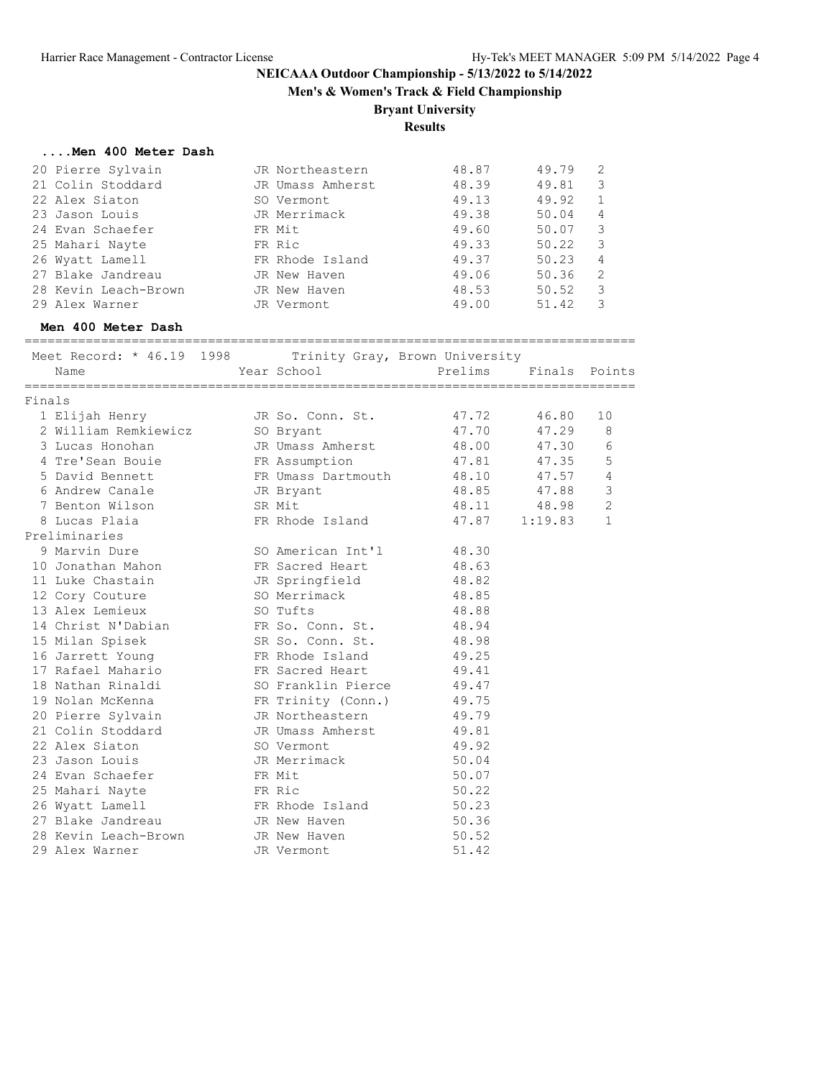**Men's & Women's Track & Field Championship**

# **Bryant University**

**Results**

#### **....Men 400 Meter Dash**

| JR Northeastern  | 48.87 | 49.79 | 2            |
|------------------|-------|-------|--------------|
| JR Umass Amherst | 48.39 | 49.81 | 3            |
| SO Vermont       | 49.13 | 49.92 | $\mathbf{1}$ |
| JR Merrimack     | 49.38 | 50.04 | 4            |
| FR Mit           | 49.60 | 50.07 | 3            |
| FR Ric           | 49.33 | 50.22 | 3            |
| FR Rhode Island  | 49.37 | 50.23 | 4            |
| JR New Haven     | 49.06 | 50.36 | -2           |
| JR New Haven     | 48.53 | 50.52 | 3            |
| JR Vermont       | 49.00 | 51.42 | 3            |
|                  |       |       |              |

#### **Men 400 Meter Dash**

================================================================================

|        | Meet Record: * 46.19 1998 |                    | Trinity Gray, Brown University |         |                |
|--------|---------------------------|--------------------|--------------------------------|---------|----------------|
|        | Name                      | Year School        | Prelims                        |         | Finals Points  |
| Finals |                           |                    |                                |         |                |
|        | 1 Elijah Henry            | JR So. Conn. St.   | 47.72                          | 46.80   | 10             |
|        | 2 William Remkiewicz      | SO Bryant          | 47.70                          | 47.29   | 8              |
|        | 3 Lucas Honohan           | JR Umass Amherst   | 48.00                          | 47.30   | 6              |
|        | 4 Tre'Sean Bouie          | FR Assumption      | 47.81                          | 47.35   | 5              |
|        | 5 David Bennett           | FR Umass Dartmouth | 48.10                          | 47.57   | $\overline{4}$ |
|        | 6 Andrew Canale           | JR Bryant          | 48.85                          | 47.88   | $\mathcal{S}$  |
|        | 7 Benton Wilson           | SR Mit             | 48.11                          | 48.98   | $\overline{c}$ |
|        | 8 Lucas Plaia             | FR Rhode Island    | 47.87                          | 1:19.83 | $\mathbf{1}$   |
|        | Preliminaries             |                    |                                |         |                |
|        | 9 Marvin Dure             | SO American Int'l  | 48.30                          |         |                |
|        | 10 Jonathan Mahon         | FR Sacred Heart    | 48.63                          |         |                |
|        | 11 Luke Chastain          | JR Springfield     | 48.82                          |         |                |
|        | 12 Cory Couture           | SO Merrimack       | 48.85                          |         |                |
|        | 13 Alex Lemieux           | SO Tufts           | 48.88                          |         |                |
|        | 14 Christ N'Dabian        | FR So. Conn. St.   | 48.94                          |         |                |
|        | 15 Milan Spisek           | SR So. Conn. St.   | 48.98                          |         |                |
|        | 16 Jarrett Young          | FR Rhode Island    | 49.25                          |         |                |
|        | 17 Rafael Mahario         | FR Sacred Heart    | 49.41                          |         |                |
|        | 18 Nathan Rinaldi         | SO Franklin Pierce | 49.47                          |         |                |
|        | 19 Nolan McKenna          | FR Trinity (Conn.) | 49.75                          |         |                |
|        | 20 Pierre Sylvain         | JR Northeastern    | 49.79                          |         |                |
|        | 21 Colin Stoddard         | JR Umass Amherst   | 49.81                          |         |                |
|        | 22 Alex Siaton            | SO Vermont         | 49.92                          |         |                |
|        | 23 Jason Louis            | JR Merrimack       | 50.04                          |         |                |
|        | 24 Evan Schaefer          | FR Mit             | 50.07                          |         |                |
|        | 25 Mahari Nayte           | FR Ric             | 50.22                          |         |                |
|        | 26 Wyatt Lamell           | FR Rhode Island    | 50.23                          |         |                |
|        | 27 Blake Jandreau         | JR New Haven       | 50.36                          |         |                |
|        | 28 Kevin Leach-Brown      | JR New Haven       | 50.52                          |         |                |
|        | 29 Alex Warner            | JR Vermont         | 51.42                          |         |                |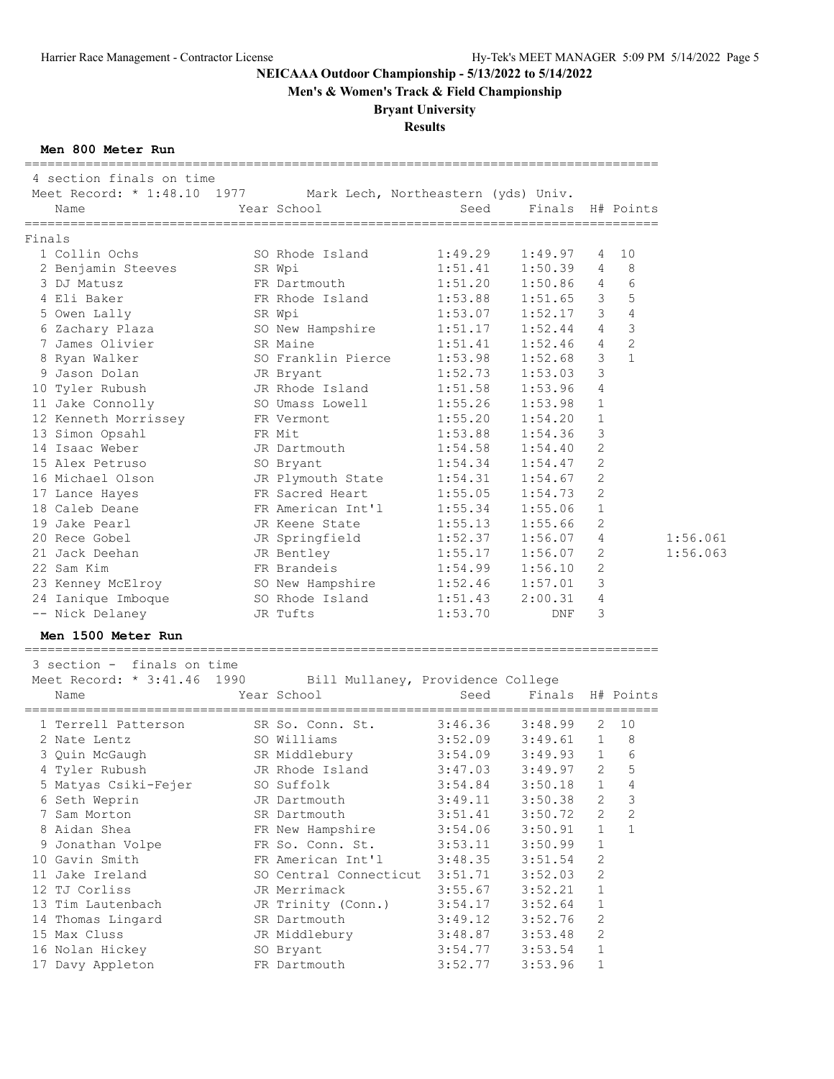**Men's & Women's Track & Field Championship**

# **Bryant University**

### **Results**

#### **Men 800 Meter Run**

| ------------------------------<br>4 section finals on time<br>Meet Record: * 1:48.10 1977 Mark Lech, Northeastern (yds) Univ. |                                   |                     |         |                |                       |
|-------------------------------------------------------------------------------------------------------------------------------|-----------------------------------|---------------------|---------|----------------|-----------------------|
| Name                                                                                                                          | Year School                       | Seed                | Finals  |                | H# Points             |
| Finals                                                                                                                        |                                   |                     |         |                |                       |
| 1 Collin Ochs                                                                                                                 | SO Rhode Island                   | 1:49.29             | 1:49.97 | 4              | 10                    |
| 2 Benjamin Steeves                                                                                                            | SR Wpi                            | 1:51.41             | 1:50.39 | 4              | 8                     |
| 3 DJ Matusz                                                                                                                   | FR Dartmouth                      | 1:51.20             | 1:50.86 | 4              | 6                     |
| 4 Eli Baker                                                                                                                   | FR Rhode Island                   | 1:53.88             | 1:51.65 | 3              | 5                     |
| 5 Owen Lally                                                                                                                  | SR Wpi                            | 1:53.07             | 1:52.17 | 3              | $\overline{4}$        |
| 6 Zachary Plaza                                                                                                               | SO New Hampshire                  | 1:51.17             | 1:52.44 | $\overline{4}$ | $\mathbf{3}$          |
| 7 James Olivier                                                                                                               | SR Maine                          | 1:51.41             | 1:52.46 | 4              | 2                     |
| 8 Ryan Walker                                                                                                                 | SO Franklin Pierce                | 1:53.98             | 1:52.68 | 3              | $\mathbf{1}$          |
| 9 Jason Dolan                                                                                                                 | JR Bryant                         | 1:52.73             | 1:53.03 | 3              |                       |
| 10 Tyler Rubush                                                                                                               | JR Rhode Island                   | 1:51.58             | 1:53.96 | 4              |                       |
| 11 Jake Connolly                                                                                                              | SO Umass Lowell                   | 1:55.26             | 1:53.98 | $\mathbf{1}$   |                       |
| 12 Kenneth Morrissey                                                                                                          | FR Vermont                        | 1:55.20             | 1:54.20 | $\mathbf{1}$   |                       |
| 13 Simon Opsahl                                                                                                               | FR Mit                            | 1:53.88             | 1:54.36 | 3              |                       |
| 14 Isaac Weber                                                                                                                | JR Dartmouth                      | 1:54.58             | 1:54.40 | 2              |                       |
| 15 Alex Petruso                                                                                                               | SO Bryant                         | 1:54.34             | 1:54.47 | 2              |                       |
| 16 Michael Olson                                                                                                              | JR Plymouth State                 | 1:54.31             | 1:54.67 | 2              |                       |
| 17 Lance Hayes                                                                                                                | FR Sacred Heart                   | 1:55.05             | 1:54.73 | 2              |                       |
| 18 Caleb Deane                                                                                                                | FR American Int'l                 | 1:55.34             | 1:55.06 | $\mathbf{1}$   |                       |
| 19 Jake Pearl                                                                                                                 |                                   | 1:55.13             |         | 2              |                       |
| 20 Rece Gobel                                                                                                                 | JR Keene State                    | 1:52.37             | 1:55.66 | 4              |                       |
|                                                                                                                               | JR Springfield                    |                     | 1:56.07 |                |                       |
| 21 Jack Deehan                                                                                                                | JR Bentley                        | 1:55.17             | 1:56.07 | 2              |                       |
| 22 Sam Kim                                                                                                                    | FR Brandeis                       | 1:54.99             | 1:56.10 | 2              |                       |
| 23 Kenney McElroy                                                                                                             | SO New Hampshire                  | 1:52.46             | 1:57.01 | 3              |                       |
| 24 Ianique Imboque                                                                                                            | SO Rhode Island                   | 1:51.43             | 2:00.31 | 4              |                       |
| -- Nick Delaney                                                                                                               | JR Tufts                          | 1:53.70             | DNF     | 3              |                       |
| Men 1500 Meter Run                                                                                                            |                                   |                     |         |                |                       |
| 3 section - finals on time                                                                                                    |                                   |                     |         |                |                       |
| Meet Record: * 3:41.46 1990                                                                                                   | Bill Mullaney, Providence College |                     |         |                |                       |
| Name                                                                                                                          | Year School                       | Seed                |         |                | Finals H# Points      |
| 1 Terrell Patterson                                                                                                           | SR So. Conn. St.                  | 3:46.36             | 3:48.99 | 2              | 10                    |
| 2 Nate Lentz                                                                                                                  | SO Williams                       | $3:52.09$ $3:49.61$ |         | 1              | - 8                   |
| 3 Quin McGaugh                                                                                                                | SR Middlebury                     | 3:54.09             | 3:49.93 | 1              | 6                     |
| 4 Tyler Rubush                                                                                                                | JR Rhode Island                   | $3:47.03$ $3:49.97$ |         |                | 5<br>$2 \overline{2}$ |
| 5 Matyas Csiki-Fejer                                                                                                          | SO Suffolk                        | 3:54.84             | 3:50.18 | $\mathbf{1}$   | 4                     |
| 6 Seth Weprin                                                                                                                 | JR Dartmouth                      | 3:49.11             | 3:50.38 | 2              | 3                     |
| 7 Sam Morton                                                                                                                  | SR Dartmouth                      | 3:51.41             | 3:50.72 | 2              | $\sqrt{2}$            |
| 8 Aidan Shea                                                                                                                  | FR New Hampshire                  | 3:54.06             | 3:50.91 | 1              | $\mathbf{1}$          |
| 9 Jonathan Volpe                                                                                                              | FR So. Conn. St.                  | 3:53.11             | 3:50.99 | 1              |                       |
| 10 Gavin Smith                                                                                                                | FR American Int'l                 | 3:48.35             | 3:51.54 | 2              |                       |
| 11 Jake Ireland                                                                                                               | SO Central Connecticut            | 3:51.71             | 3:52.03 | 2              |                       |
| 12 TJ Corliss                                                                                                                 | JR Merrimack                      | 3:55.67             | 3:52.21 | 1              |                       |
| 13 Tim Lautenbach                                                                                                             | JR Trinity (Conn.)                | 3:54.17             | 3:52.64 | 1              |                       |
| 14 Thomas Lingard                                                                                                             | SR Dartmouth                      | 3:49.12             | 3:52.76 | 2              |                       |
| 15 Max Cluss                                                                                                                  | JR Middlebury                     | 3:48.87             | 3:53.48 | 2              |                       |
| 16 Nolan Hickey                                                                                                               | SO Bryant                         | 3:54.77             | 3:53.54 | $\mathbf{1}$   |                       |
| 17 Davy Appleton                                                                                                              | FR Dartmouth                      | 3:52.77             | 3:53.96 | $\mathbf{1}$   |                       |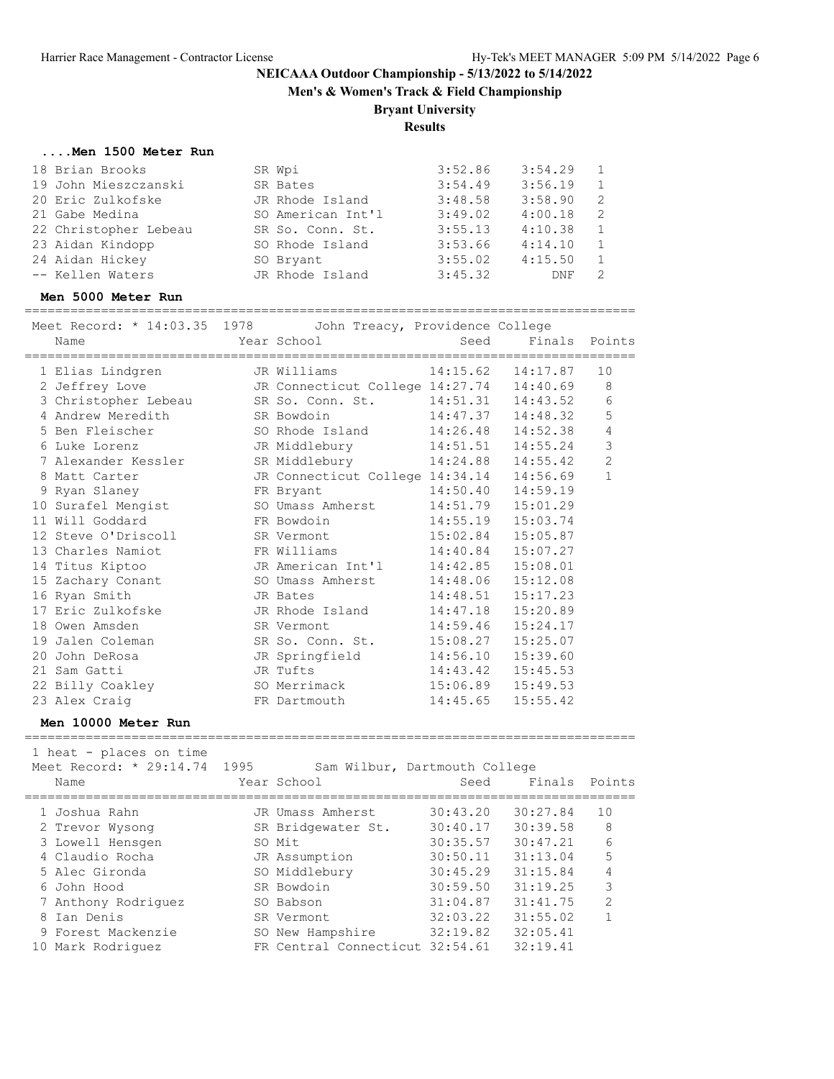**Men's & Women's Track & Field Championship**

#### **Bryant University**

**Results**

#### **....Men 1500 Meter Run**

| 18 Brian Brooks       | SR Wpi            | 3:52.86 | 3:54.29 |                |
|-----------------------|-------------------|---------|---------|----------------|
| 19 John Mieszczanski  | SR Bates          | 3:54.49 | 3:56.19 |                |
| 20 Eric Zulkofske     | JR Rhode Island   | 3:48.58 | 3:58.90 | - 2            |
| 21 Gabe Medina        | SO American Int'l | 3:49.02 | 4:00.18 | $\overline{2}$ |
| 22 Christopher Lebeau | SR So. Conn. St.  | 3:55.13 | 4:10.38 |                |
| 23 Aidan Kindopp      | SO Rhode Island   | 3:53.66 | 4:14.10 |                |
| 24 Aidan Hickey       | SO Bryant         | 3:55.02 | 4:15.50 |                |
| -- Kellen Waters      | JR Rhode Island   | 3:45.32 | DNF     |                |

#### **Men 5000 Meter Run**

================================================================================

| Meet Record: * 14:03.35 1978<br>Name |      | John Treacy, Providence College<br>Year School | Seed     | Finals                | Points         |
|--------------------------------------|------|------------------------------------------------|----------|-----------------------|----------------|
|                                      |      |                                                |          |                       |                |
| 1 Elias Lindgren                     |      | JR Williams                                    |          | $14:15.62$ $14:17.87$ | 10             |
| 2 Jeffrey Love                       |      | JR Connecticut College 14:27.74 14:40.69       |          |                       | 8              |
| 3 Christopher Lebeau                 |      | SR So. Conn. St.                               |          | 14:51.31  14:43.52    | 6              |
| 4 Andrew Meredith                    |      | SR Bowdoin                                     | 14:47.37 | 14:48.32              | 5              |
| 5 Ben Fleischer                      |      | SO Rhode Island                                | 14:26.48 | 14:52.38              | 4              |
| 6 Luke Lorenz                        |      | JR Middlebury                                  | 14:51.51 | 14:55.24              | $\mathcal{S}$  |
| 7 Alexander Kessler                  |      | SR Middlebury                                  | 14:24.88 | 14:55.42              | $\overline{2}$ |
| 8 Matt Carter                        |      | JR Connecticut College 14:34.14                |          | 14:56.69              | $\mathbf{1}$   |
| 9 Ryan Slaney                        |      | FR Bryant                                      |          | 14:50.40 14:59.19     |                |
| 10 Surafel Mengist                   |      | SO Umass Amherst                               | 14:51.79 | 15:01.29              |                |
| 11 Will Goddard                      |      | FR Bowdoin                                     | 14:55.19 | 15:03.74              |                |
| 12 Steve O'Driscoll                  |      | SR Vermont                                     | 15:02.84 | 15:05.87              |                |
| 13 Charles Namiot                    |      | FR Williams                                    | 14:40.84 | 15:07.27              |                |
| 14 Titus Kiptoo                      |      | JR American Int'l                              | 14:42.85 | 15:08.01              |                |
| 15 Zachary Conant                    |      | SO Umass Amherst                               | 14:48.06 | 15:12.08              |                |
| 16 Ryan Smith                        |      | JR Bates                                       | 14:48.51 | 15:17.23              |                |
| 17 Eric Zulkofske                    |      | JR Rhode Island                                |          | 14:47.18  15:20.89    |                |
| 18 Owen Amsden                       |      | SR Vermont                                     | 14:59.46 | 15:24.17              |                |
| 19 Jalen Coleman                     |      | SR So. Conn. St.                               | 15:08.27 | 15:25.07              |                |
| 20 John DeRosa                       |      | JR Springfield                                 | 14:56.10 | 15:39.60              |                |
| 21 Sam Gatti                         |      | JR Tufts                                       |          | 14:43.42  15:45.53    |                |
| 22 Billy Coakley                     |      | SO Merrimack                                   |          | 15:06.89  15:49.53    |                |
| 23 Alex Craig                        |      | FR Dartmouth                                   | 14:45.65 | 15:55.42              |                |
| Men 10000 Meter Run                  |      |                                                |          |                       |                |
|                                      |      |                                                |          |                       |                |
| 1 heat - places on time              |      |                                                |          |                       |                |
| Meet Record: * 29:14.74              | 1995 | Sam Wilbur, Dartmouth College                  |          |                       |                |
| Name                                 |      | Year School                                    | Seed     | Finals                | Points         |
| 1 Joshua Rahn                        |      | JR Umass Amherst                               | 30:43.20 | 30:27.84              | 10             |

 2 Trevor Wysong SR Bridgewater St. 30:40.17 30:39.58 8 3 Lowell Hensgen SO Mit 30:35.57 30:47.21 6 4 Claudio Rocha JR Assumption 30:50.11 31:13.04 5 5 Alec Gironda SO Middlebury 30:45.29 31:15.84 4 6 John Hood SR Bowdoin 30:59.50 31:19.25 3 7 Anthony Rodriguez SO Babson 31:04.87 31:41.75 2 8 Ian Denis SR Vermont 32:03.22 31:55.02 1 9 Forest Mackenzie SO New Hampshire 32:19.82 32:05.41 10 Mark Rodriguez FR Central Connecticut 32:54.61 32:19.41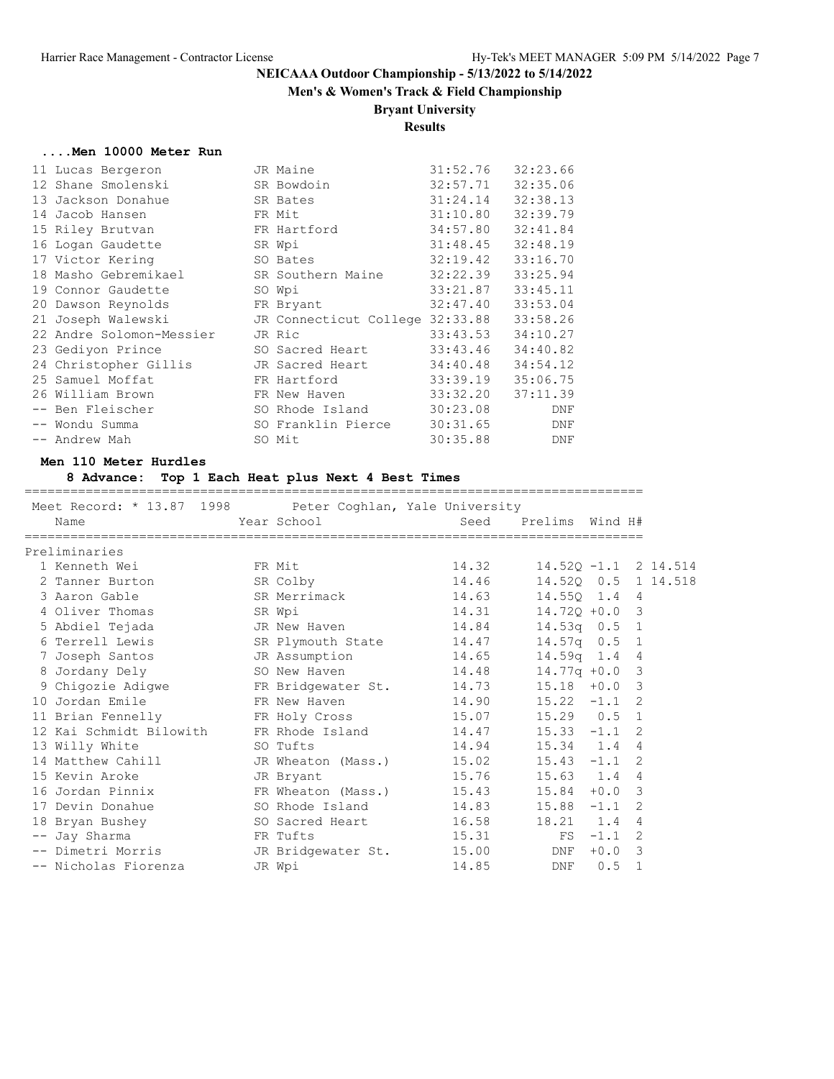### **Men's & Women's Track & Field Championship**

### **Bryant University**

### **Results**

#### **....Men 10000 Meter Run**

| 11 Lucas Bergeron        | JR Maine                        | 31:52.76 | 32:23.66   |
|--------------------------|---------------------------------|----------|------------|
| 12 Shane Smolenski       | SR Bowdoin                      | 32:57.71 | 32:35.06   |
| 13 Jackson Donahue       | SR Bates                        | 31:24.14 | 32:38.13   |
| 14 Jacob Hansen          | FR Mit                          | 31:10.80 | 32:39.79   |
| 15 Riley Brutvan         | FR Hartford                     | 34:57.80 | 32:41.84   |
| 16 Logan Gaudette        | SR Wpi                          | 31:48.45 | 32:48.19   |
| 17 Victor Kering         | SO Bates                        | 32:19.42 | 33:16.70   |
| 18 Masho Gebremikael     | SR Southern Maine               | 32:22.39 | 33:25.94   |
| 19 Connor Gaudette       | SO Wpi                          | 33:21.87 | 33:45.11   |
| 20 Dawson Reynolds       | FR Bryant                       | 32:47.40 | 33:53.04   |
| 21 Joseph Walewski       | JR Connecticut College 32:33.88 |          | 33:58.26   |
| 22 Andre Solomon-Messier | JR Ric                          | 33:43.53 | 34:10.27   |
| 23 Gediyon Prince        | SO Sacred Heart                 | 33:43.46 | 34:40.82   |
| 24 Christopher Gillis    | JR Sacred Heart                 | 34:40.48 | 34:54.12   |
| 25 Samuel Moffat         | FR Hartford                     | 33:39.19 | 35:06.75   |
| 26 William Brown         | FR New Haven                    | 33:32.20 | 37:11.39   |
| -- Ben Fleischer         | SO Rhode Island                 | 30:23.08 | DNF        |
| -- Wondu Summa           | SO Franklin Pierce              | 30:31.65 | DNF        |
| -- Andrew Mah            | SO Mit                          | 30:35.88 | <b>DNF</b> |

#### **Men 110 Meter Hurdles**

#### **8 Advance: Top 1 Each Heat plus Next 4 Best Times**

| Meet Record: * 13.87 1998 Peter Coghlan, Yale University |        |                                           |                        |                         |           |                |  |
|----------------------------------------------------------|--------|-------------------------------------------|------------------------|-------------------------|-----------|----------------|--|
| Name                                                     |        | Year School and the School and the School | Seed                   | Prelims Wind H#         |           |                |  |
|                                                          |        |                                           |                        |                         |           |                |  |
| Preliminaries                                            |        |                                           |                        |                         |           |                |  |
| 1 Kenneth Wei                                            | FR Mit |                                           | 14.32                  | $14.52Q - 1.1$ 2 14.514 |           |                |  |
| 2 Tanner Burton                                          |        | SR Colby                                  | 14.46                  | 14.520 0.5 1 14.518     |           |                |  |
| 3 Aaron Gable                                            |        | SR Merrimack                              | 14.63                  | 14.550 1.4              |           | 4              |  |
| 4 Oliver Thomas                                          |        | SR Wpi                                    | 14.31                  | $14.720 + 0.0$          |           | 3              |  |
| 5 Abdiel Tejada                                          |        | JR New Haven                              | 14.84                  | $14.53q$ 0.5 1          |           |                |  |
| 6 Terrell Lewis                                          |        | SR Plymouth State                         | 14.47                  | $14.57q$ 0.5            |           | $\overline{1}$ |  |
| 7 Joseph Santos                                          |        | JR Assumption                             | 14.65                  | $14.59q$ 1.4            |           | 4              |  |
| 8 Jordany Dely                                           |        | SO New Haven                              | 14.48                  | $14.77q + 0.0$          |           | $\mathbf{3}$   |  |
| 9 Chigozie Adigwe                                        |        | FR Bridgewater St. 14.73                  |                        | $15.18 + 0.0$           |           | 3              |  |
| 10 Jordan Emile                                          |        | FR New Haven                              | $14.90$ $15.22$ $-1.1$ |                         |           | 2              |  |
| 11 Brian Fennelly TR Holy Cross                          |        |                                           | 15.07   15.29   0.5    |                         |           | $\mathbf{1}$   |  |
| 12 Kai Schmidt Bilowith                                  |        | FR Rhode Island                           | $14.47$ $15.33$ $-1.1$ |                         |           | 2              |  |
| 13 Willy White                                           |        | SO Tufts                                  | 14.94 15.34 1.4        |                         |           | 4              |  |
| 14 Matthew Cahill CJR Wheaton (Mass.) 15.02 15.43 -1.1   |        |                                           |                        |                         |           | 2              |  |
| 15 Kevin Aroke                                           |        | JR Bryant                                 | 15.76 15.63 1.4        |                         |           | 4              |  |
| 16 Jordan Pinnix                                         |        | FR Wheaton (Mass.)                        | 15.43                  | $15.84 + 0.0$           |           | 3              |  |
| 17 Devin Donahue                                         |        | SO Rhode Island                           | $14.83$ $15.88$ $-1.1$ |                         |           | 2              |  |
| 18 Bryan Bushey                                          |        | SO Sacred Heart                           | 16.58                  | 18.21 1.4               |           | 4              |  |
| -- Jay Sharma                                            |        | FR Tufts                                  | 15.31                  |                         | $FS -1.1$ | 2              |  |
| -- Dimetri Morris                                        |        | JR Bridgewater St.                        | 15.00                  | DNF                     | $+0.0$    | 3              |  |
| -- Nicholas Fiorenza                                     |        | JR Wpi                                    | 14.85                  | DNF                     | 0.5       | $\mathbf{1}$   |  |
|                                                          |        |                                           |                        |                         |           |                |  |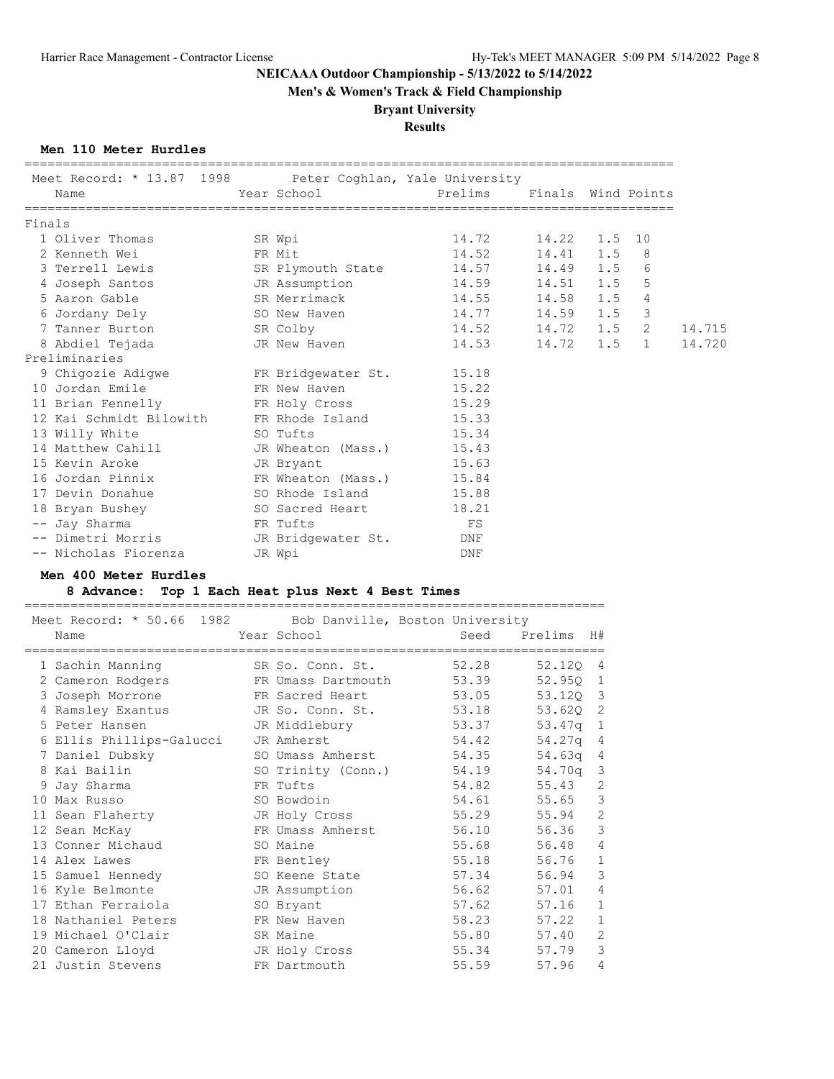**Men's & Women's Track & Field Championship**

### **Bryant University**

### **Results**

#### **Men 110 Meter Hurdles**

|        | Meet Record: * 13.87 1998 Peter Coghlan, Yale University<br>Name |                                   | ====================================== | Finals Wind Points |               |        |
|--------|------------------------------------------------------------------|-----------------------------------|----------------------------------------|--------------------|---------------|--------|
| Finals |                                                                  |                                   |                                        |                    |               |        |
|        | 1 Oliver Thomas                                                  | SR Wpi                            | 14.72   14.22   1.5   10               |                    |               |        |
|        | 2 Kenneth Wei                                                    | FR Mit                            | 14.52                                  | 14.41 1.5          | 8             |        |
|        | 3 Terrell Lewis                                                  | SR Plymouth State 14.57 14.49 1.5 |                                        |                    | 6             |        |
|        | 4 Joseph Santos                                                  | JR Assumption                     | 14.59                                  | 14.51 1.5          | 5             |        |
|        | 5 Aaron Gable                                                    | SR Merrimack                      | 14.55                                  | 14.58 1.5          | 4             |        |
|        | 6 Jordany Dely                                                   | SO New Haven 14.77 14.59 1.5      |                                        |                    | $\mathcal{S}$ |        |
|        | 7 Tanner Burton                                                  | SR Colby                          | 14.52 14.72 1.5                        |                    | 2             | 14.715 |
|        | 8 Abdiel Tejada                                                  | JR New Haven                      | 14.53                                  | 14.72 1.5          | 1             | 14.720 |
|        | Preliminaries                                                    |                                   |                                        |                    |               |        |
|        | 9 Chigozie Adigwe FR Bridgewater St. 15.18                       |                                   |                                        |                    |               |        |
|        | 10 Jordan Emile                                                  | FR New Haven                      | 15.22                                  |                    |               |        |
|        | 11 Brian Fennelly FR Holy Cross 15.29                            |                                   |                                        |                    |               |        |
|        | 12 Kai Schmidt Bilowith FR Rhode Island 15.33                    |                                   |                                        |                    |               |        |
|        | 13 Willy White                                                   | SO Tufts                          | 15.34                                  |                    |               |        |
|        | 14 Matthew Cahill                                                | JR Wheaton (Mass.) 15.43          |                                        |                    |               |        |
|        | 15 Kevin Aroke                                                   | JR Bryant                         | 15.63                                  |                    |               |        |
|        | 16 Jordan Pinnix                                                 | FR Wheaton (Mass.) 15.84          |                                        |                    |               |        |
|        | 17 Devin Donahue                                                 | SO Rhode Island 15.88             |                                        |                    |               |        |
|        | 18 Bryan Bushey                                                  | SO Sacred Heart 18.21             |                                        |                    |               |        |
|        | -- Jay Sharma                                                    | FR Tufts                          | FS                                     |                    |               |        |
|        | -- Dimetri Morris                                                | JR Bridgewater St.                | DNF                                    |                    |               |        |
|        | -- Nicholas Fiorenza                                             | JR Wpi                            | DNF                                    |                    |               |        |

### **Men 400 Meter Hurdles**

#### **8 Advance: Top 1 Each Heat plus Next 4 Best Times** ============================================================================

| Meet Record: * 50.66 1982 Bob Danville, Boston University<br>Name | Year School              | Seed  | Prelims H# |                |
|-------------------------------------------------------------------|--------------------------|-------|------------|----------------|
| ===================================                               |                          |       |            |                |
| 1 Sachin Manning                                                  | SR So. Conn. St. 52.28   |       | 52.120     | 4              |
| 2 Cameron Rodgers                                                 | FR Umass Dartmouth 53.39 |       | 52.950     | 1              |
| 3 Joseph Morrone                                                  | FR Sacred Heart          | 53.05 | 53.120 3   |                |
| 4 Ramsley Exantus                                                 | JR So. Conn. St.         | 53.18 | 53.620     | 2              |
| 5 Peter Hansen                                                    | JR Middlebury            | 53.37 | 53.47q 1   |                |
| 6 Ellis Phillips-Galucci                                          | JR Amherst               | 54.42 | $54.27q$ 4 |                |
| 7 Daniel Dubsky                                                   | SO Umass Amherst         | 54.35 | $54.63q$ 4 |                |
| 8 Kai Bailin                                                      | SO Trinity (Conn.) 54.19 |       | 54.70q     | 3              |
| 9 Jay Sharma                                                      | FR Tufts                 | 54.82 | 55.43      | 2              |
| 10 Max Russo                                                      | SO Bowdoin               | 54.61 | 55.65      | 3              |
| 11 Sean Flaherty                                                  | JR Holy Cross            | 55.29 | 55.94      | 2              |
| 12 Sean McKay                                                     | FR Umass Amherst         | 56.10 | 56.36      | 3              |
| 13 Conner Michaud                                                 | SO Maine                 | 55.68 | 56.48      | 4              |
| 14 Alex Lawes                                                     | FR Bentley               | 55.18 | 56.76      | 1              |
| 15 Samuel Hennedy                                                 | SO Keene State           | 57.34 | 56.94      | 3              |
| 16 Kyle Belmonte                                                  | JR Assumption            | 56.62 | 57.01      | 4              |
| 17 Ethan Ferraiola                                                | SO Bryant                | 57.62 | 57.16      | 1              |
| 18 Nathaniel Peters                                               | FR New Haven             | 58.23 | 57.22      | 1              |
| 19 Michael O'Clair                                                | SR Maine                 | 55.80 | 57.40      | $\overline{2}$ |
| 20 Cameron Lloyd                                                  | JR Holy Cross            | 55.34 | 57.79      | 3              |
| 21 Justin Stevens                                                 | FR Dartmouth             | 55.59 | 57.96      | 4              |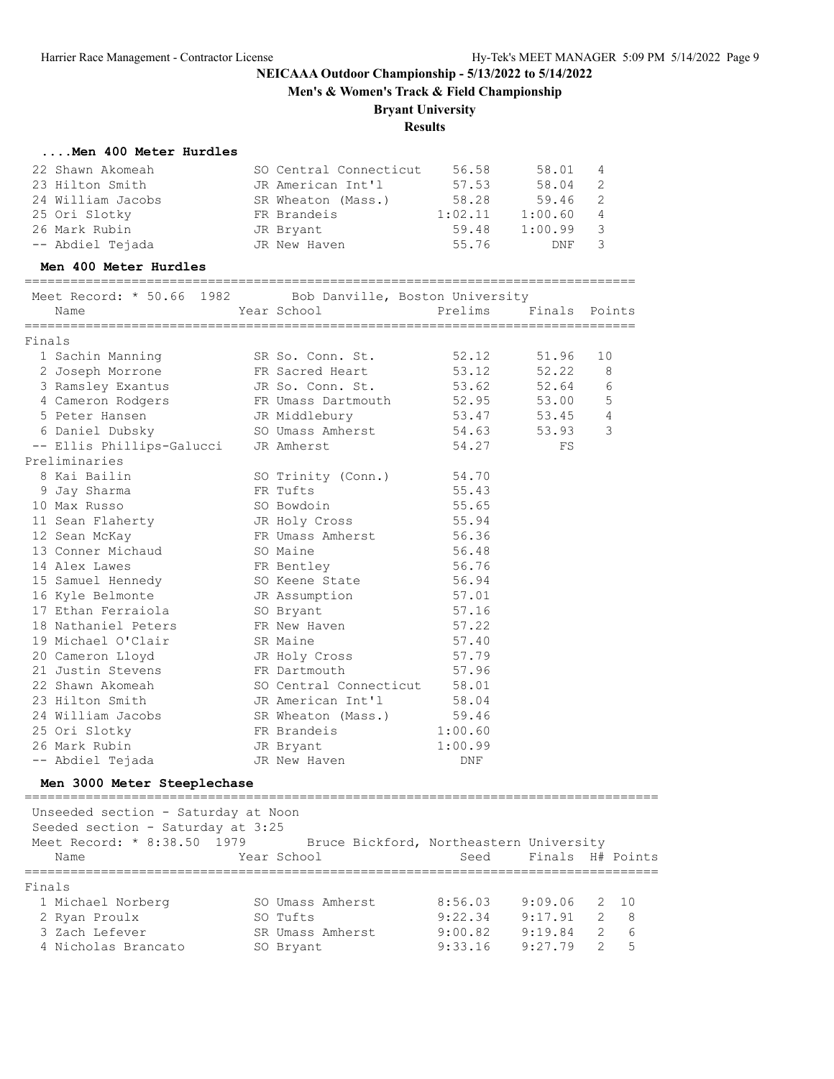**Men's & Women's Track & Field Championship**

### **Bryant University**

### **Results**

#### **....Men 400 Meter Hurdles**

| 22 Shawn Akomeah          | SO Central Connecticut          | 56.58   | 58.01   | - 4 |  |  |  |  |  |
|---------------------------|---------------------------------|---------|---------|-----|--|--|--|--|--|
| 23 Hilton Smith           | JR American Int'l               | 57.53   | 58.04   | -2  |  |  |  |  |  |
| 24 William Jacobs         | SR Wheaton (Mass.)              | 58.28   | 59.46   | - 2 |  |  |  |  |  |
| 25 Ori Slotky             | FR Brandeis                     | 1:02.11 | 1:00.60 | 4   |  |  |  |  |  |
| 26 Mark Rubin             | JR Bryant                       | 59.48   | 1:00.99 | 3   |  |  |  |  |  |
| -- Abdiel Tejada          | JR New Haven                    | 55.76   | DNF     | 3   |  |  |  |  |  |
| Men 400 Meter Hurdles     |                                 |         |         |     |  |  |  |  |  |
| Meet Record: * 50.66 1982 | Bob Danville, Boston University |         |         |     |  |  |  |  |  |

|        | Name                        | Year School            | Prelims | Finals | Points         |
|--------|-----------------------------|------------------------|---------|--------|----------------|
| Finals |                             |                        |         |        |                |
|        | 1 Sachin Manning            | SR So. Conn. St.       | 52.12   | 51.96  | 10             |
|        | 2 Joseph Morrone            | FR Sacred Heart        | 53.12   | 52.22  | 8              |
|        | 3 Ramsley Exantus           | JR So. Conn. St.       | 53.62   | 52.64  | 6              |
|        | 4 Cameron Rodgers           | FR Umass Dartmouth     | 52.95   | 53.00  | 5              |
|        | 5 Peter Hansen              | JR Middlebury          | 53.47   | 53.45  | $\overline{4}$ |
|        | 6 Daniel Dubsky             | SO Umass Amherst       | 54.63   | 53.93  | 3              |
|        | -- Ellis Phillips-Galucci   | JR Amherst             | 54.27   | FS     |                |
|        | Preliminaries               |                        |         |        |                |
|        | 8 Kai Bailin                | SO Trinity (Conn.)     | 54.70   |        |                |
|        | 9 Jay Sharma                | FR Tufts               | 55.43   |        |                |
|        | 10 Max Russo                | SO Bowdoin             | 55.65   |        |                |
|        | 11 Sean Flaherty            | JR Holy Cross          | 55.94   |        |                |
|        | 12 Sean McKay               | FR Umass Amherst       | 56.36   |        |                |
|        | 13 Conner Michaud           | SO Maine               | 56.48   |        |                |
|        | 14 Alex Lawes               | FR Bentley             | 56.76   |        |                |
|        | 15 Samuel Hennedy           | SO Keene State         | 56.94   |        |                |
|        | 16 Kyle Belmonte            | JR Assumption          | 57.01   |        |                |
|        | 17 Ethan Ferraiola          | SO Bryant              | 57.16   |        |                |
|        | 18 Nathaniel Peters         | FR New Haven           | 57.22   |        |                |
|        | 19 Michael O'Clair          | SR Maine               | 57.40   |        |                |
|        | 20 Cameron Lloyd            | JR Holy Cross          | 57.79   |        |                |
|        | 21 Justin Stevens           | FR Dartmouth           | 57.96   |        |                |
|        | 22 Shawn Akomeah            | SO Central Connecticut | 58.01   |        |                |
|        | 23 Hilton Smith             | JR American Int'l      | 58.04   |        |                |
|        | 24 William Jacobs           | SR Wheaton (Mass.)     | 59.46   |        |                |
|        | 25 Ori Slotky               | FR Brandeis            | 1:00.60 |        |                |
|        | 26 Mark Rubin               | JR Bryant              | 1:00.99 |        |                |
|        | -- Abdiel Tejada            | JR New Haven           | DNF     |        |                |
|        | Men 3000 Meter Steeplechase |                        |         |        |                |

=================================================================================== Unseeded section - Saturday at Noon Seeded section - Saturday at 3:25 Meet Record: \* 8:38.50 1979 Bruce Bickford, Northeastern University Name The Year School Seed Finals H# Points =================================================================================== Finals 1 Michael Norberg SO Umass Amherst 8:56.03 9:09.06 2 10 2 Ryan Proulx SO Tufts 9:22.34 9:17.91 2 8 3 Zach Lefever SR Umass Amherst 9:00.82 9:19.84 2 6 4 Nicholas Brancato SO Bryant 9:33.16 9:27.79 2 5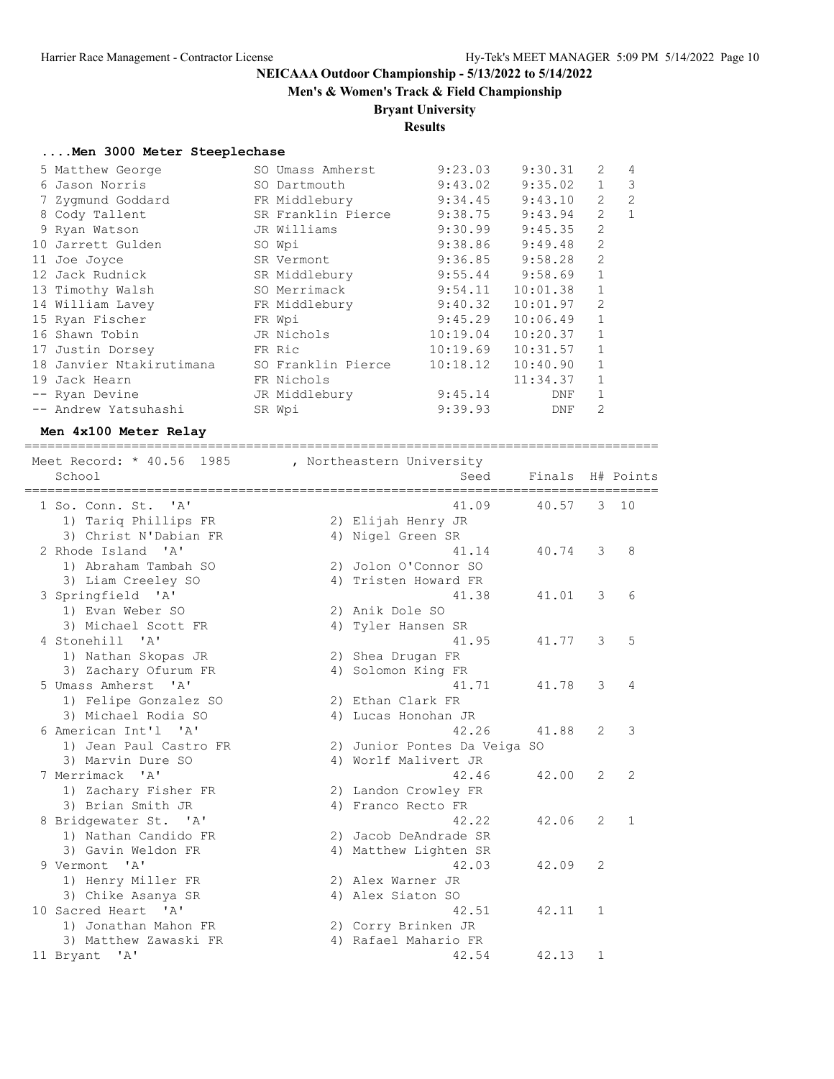**Men's & Women's Track & Field Championship**

#### **Bryant University**

**Results**

#### **....Men 3000 Meter Steeplechase**

| 5 Matthew George         | SO Umass Amherst   | 9:23.03  | 9:30.31             | 2              | $\overline{4}$ |
|--------------------------|--------------------|----------|---------------------|----------------|----------------|
| 6 Jason Norris           | SO Dartmouth       | 9:43.02  | 9:35.02             | $\mathbf{1}$   | 3              |
| 7 Zygmund Goddard        | FR Middlebury      | 9:34.45  | 9:43.10             | $\overline{2}$ | $\overline{2}$ |
| 8 Cody Tallent           | SR Franklin Pierce | 9:38.75  | 9:43.94             | $\overline{2}$ | $\mathbf{1}$   |
| 9 Ryan Watson            | JR Williams        | 9:30.99  | 9:45.35             | $\overline{2}$ |                |
| 10 Jarrett Gulden        | SO Wpi             | 9:38.86  | 9:49.48             | 2              |                |
| 11 Joe Joyce             | SR Vermont         | 9:36.85  | 9:58.28             | 2              |                |
| 12 Jack Rudnick          | SR Middlebury      |          | $9:55.44$ $9:58.69$ | $\mathbf{1}$   |                |
| 13 Timothy Walsh         | SO Merrimack       | 9:54.11  | 10:01.38            | $\mathbf{1}$   |                |
| 14 William Lavey         | FR Middlebury      | 9:40.32  | 10:01.97            | $\mathfrak{D}$ |                |
| 15 Ryan Fischer          | FR Wpi             | 9:45.29  | 10:06.49            | $\mathbf{1}$   |                |
| 16 Shawn Tobin           | JR Nichols         | 10:19.04 | 10:20.37            | $\mathbf{1}$   |                |
| 17 Justin Dorsey         | FR Ric             | 10:19.69 | 10:31.57            | $\mathbf{1}$   |                |
| 18 Janvier Ntakirutimana | SO Franklin Pierce | 10:18.12 | 10:40.90            | $\mathbf{1}$   |                |
| 19 Jack Hearn            | FR Nichols         |          | 11:34.37            |                |                |
| -- Ryan Devine           | JR Middlebury      | 9:45.14  | DNF                 | 1              |                |
| -- Andrew Yatsuhashi     | SR Wpi             | 9:39.93  | DNF                 | 2              |                |
|                          |                    |          |                     |                |                |

#### **Men 4x100 Meter Relay**

=================================================================================== Meet Record: \* 40.56 1985 , Northeastern University School Seed Finals H# Points =================================================================================== 41.09 40.57 3 10 1) Tariq Phillips FR 2) Elijah Henry JR 3) Christ N'Dabian FR 4) Nigel Green SR 2 Rhode Island 'A' 41.14 40.74 3 8 1) Abraham Tambah SO 2) Jolon O'Connor SO 3) Liam Creeley SO 4) Tristen Howard FR 3 Springfield 'A' 41.38 41.01 3 6 1) Evan Weber SO 2) Anik Dole SO 3) Michael Scott FR 4) Tyler Hansen SR 4 Stonehill 'A' 41.95 41.77 3 5 1) Nathan Skopas JR 2) Shea Drugan FR 3) Zachary Ofurum FR 4) Solomon King FR 5 Umass Amherst 'A' 41.71 41.78 3 4 1) Felipe Gonzalez SO 2) Ethan Clark FR 3) Michael Rodia SO 4) Lucas Honohan JR 6 American Int'l 'A' 42.26 41.88 2 3 1) Jean Paul Castro FR 2) Junior Pontes Da Veiga SO 3) Marvin Dure SO 64) Worlf Malivert JR 7 Merrimack 'A' 42.46 42.00 2 2 1) Zachary Fisher FR 2) Landon Crowley FR 3) Brian Smith JR 4) Franco Recto FR 8 Bridgewater St. 'A' 12.22 42.06 2 1 1) Nathan Candido FR 2) Jacob DeAndrade SR 3) Gavin Weldon FR 4) Matthew Lighten SR 9 Vermont 'A' 42.03 42.09 2 1) Henry Miller FR 2) Alex Warner JR 3) Chike Asanya SR 4) Alex Siaton SO 10 Sacred Heart 'A' 42.51 42.11 1 1) Jonathan Mahon FR 2) Corry Brinken JR 3) Matthew Zawaski FR 4) Rafael Mahario FR 11 Bryant 'A' 42.54 42.13 1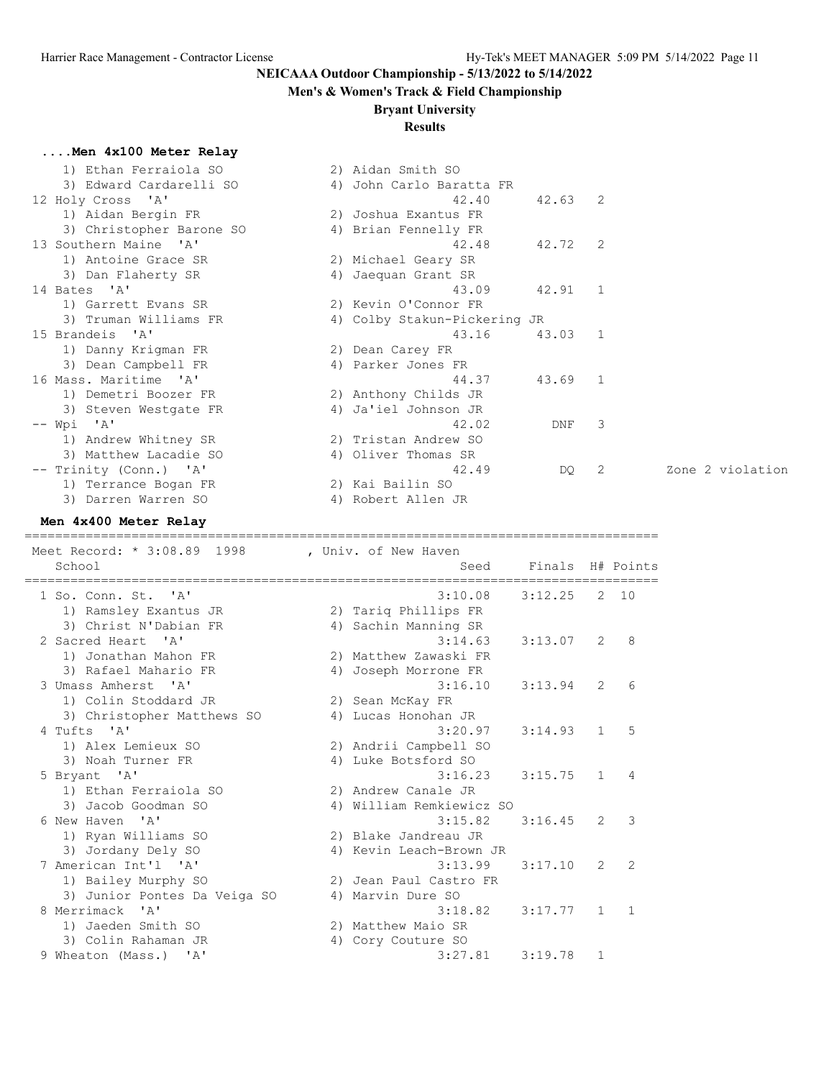**....Men 4x100 Meter Relay**

# **NEICAAA Outdoor Championship - 5/13/2022 to 5/14/2022**

# **Men's & Women's Track & Field Championship**

### **Bryant University**

### **Results**

| 1) Ethan Ferraiola SO    | 2) Aidan Smith SO            |           |                |                  |
|--------------------------|------------------------------|-----------|----------------|------------------|
| 3) Edward Cardarelli SO  | 4) John Carlo Baratta FR     |           |                |                  |
| 12 Holy Cross 'A'        | 42.40                        | $42.63$ 2 |                |                  |
| 1) Aidan Bergin FR       | 2) Joshua Exantus FR         |           |                |                  |
| 3) Christopher Barone SO | 4) Brian Fennelly FR         |           |                |                  |
| 13 Southern Maine 'A'    | 42.48                        | 42.72 2   |                |                  |
| 1) Antoine Grace SR      | 2) Michael Geary SR          |           |                |                  |
| 3) Dan Flaherty SR       | 4) Jaequan Grant SR          |           |                |                  |
| 14 Bates 'A'             | 43.09                        | 42.91     | $\overline{1}$ |                  |
| 1) Garrett Evans SR      | 2) Kevin O'Connor FR         |           |                |                  |
| 3) Truman Williams FR    | 4) Colby Stakun-Pickering JR |           |                |                  |
| 15 Brandeis 'A'          | 43.16                        | 43.03 1   |                |                  |
| 1) Danny Krigman FR      | 2) Dean Carey FR             |           |                |                  |
| 3) Dean Campbell FR      | 4) Parker Jones FR           |           |                |                  |
| 16 Mass. Maritime 'A'    | 44.37                        | 43.69 1   |                |                  |
| 1) Demetri Boozer FR     | 2) Anthony Childs JR         |           |                |                  |
| 3) Steven Westgate FR    | 4) Ja'iel Johnson JR         |           |                |                  |
| $--$ Wpi 'A'             | 42.02                        | DNF       | 3              |                  |
| 1) Andrew Whitney SR     | 2) Tristan Andrew SO         |           |                |                  |
| 3) Matthew Lacadie SO    | 4) Oliver Thomas SR          |           |                |                  |
| -- Trinity (Conn.) 'A'   | 42.49                        | DQ        | -2             | Zone 2 violation |
| 1) Terrance Bogan FR     | 2) Kai Bailin SO             |           |                |                  |
| 3) Darren Warren SO      | 4) Robert Allen JR           |           |                |                  |

### **Men 4x400 Meter Relay**

===================================================================================

| Meet Record: * 3:08.89 1998<br>School                          |    | , Univ. of New Haven<br>Seed    | Finals H# Points |                |              |
|----------------------------------------------------------------|----|---------------------------------|------------------|----------------|--------------|
| 1 So. Conn. St. 'A'<br>1) Ramsley Exantus JR                   |    | 3:10.08<br>2) Tariq Phillips FR | 3:12.25          |                | $2 \quad 10$ |
| 3) Christ N'Dabian FR                                          |    | 4) Sachin Manning SR            |                  |                |              |
| 2 Sacred Heart 'A'                                             |    | 3:14.63                         | 3:13.07          | 2              | 8            |
| 1) Jonathan Mahon FR                                           |    | 2) Matthew Zawaski FR           |                  |                |              |
| 3) Rafael Mahario FR                                           | 4) | Joseph Morrone FR               |                  |                |              |
| 3 Umass Amherst 'A'                                            |    | 3:16.10                         | 3:13.94          | 2              | 6            |
| 1) Colin Stoddard JR                                           |    | 2) Sean McKay FR                |                  |                |              |
| 3) Christopher Matthews SO                                     |    | 4) Lucas Honohan JR             |                  |                |              |
| 4 Tufts 'A'                                                    |    | 3:20.97                         | 3:14.93          | $\mathbf{1}$   | 5            |
| 1) Alex Lemieux SO                                             |    | 2) Andrii Campbell SO           |                  |                |              |
| 3) Noah Turner FR                                              |    | 4) Luke Botsford SO             |                  |                |              |
| 5 Bryant 'A'                                                   |    | 3:16.23                         | 3:15.75          | $\mathbf{1}$   | 4            |
| 1) Ethan Ferraiola SO                                          |    | 2) Andrew Canale JR             |                  |                |              |
| 3) Jacob Goodman SO                                            |    | 4) William Remkiewicz SO        |                  |                |              |
| 6 New Haven<br>$^{\prime}$ A $^{\prime}$                       |    | 3:15.82                         | 3:16.45          | 2              | 3            |
| 1) Ryan Williams SO                                            |    | 2) Blake Jandreau JR            |                  |                |              |
| 3) Jordany Dely SO                                             |    | 4) Kevin Leach-Brown JR         |                  |                |              |
| 7 American Int'l 'A'                                           |    | 3:13.99                         | 3:17.10          | $\overline{2}$ | 2            |
| 1) Bailey Murphy SO                                            |    | 2) Jean Paul Castro FR          |                  |                |              |
| 3) Junior Pontes Da Veiga SO                                   |    | 4) Marvin Dure SO               |                  |                |              |
| 8 Merrimack<br>$^{\prime}$ A <sup><math>^{\prime}</math></sup> |    | 3:18.82                         | 3:17.77          | $\mathbf{1}$   | $\mathbf{1}$ |
| 1) Jaeden Smith SO                                             |    | 2) Matthew Maio SR              |                  |                |              |
| 3) Colin Rahaman JR                                            |    | 4) Cory Couture SO              |                  |                |              |
| 9 Wheaton (Mass.) 'A'                                          |    | 3:27.81                         | 3:19.78          | $\mathbf{1}$   |              |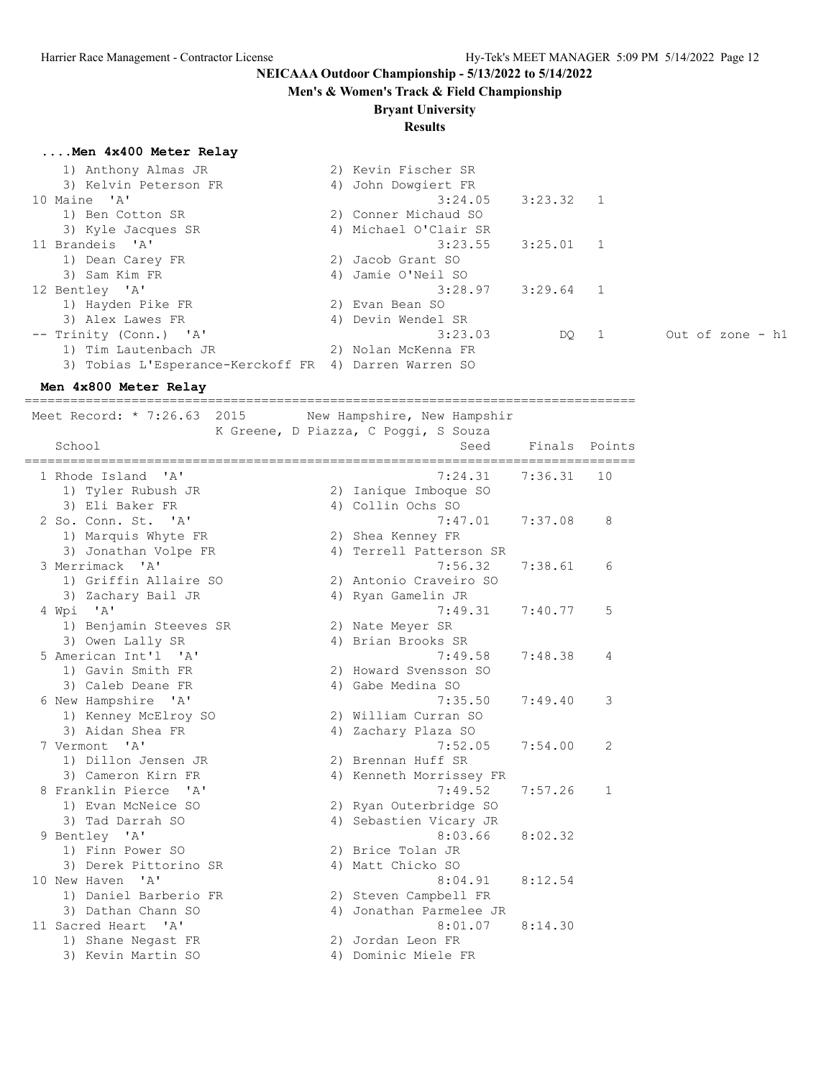#### **Men's & Women's Track & Field Championship**

**Bryant University**

#### **Results**

#### **....Men 4x400 Meter Relay**

| 1) Anthony Almas JR                                   | 2) Kevin Fischer SR   |             |                  |
|-------------------------------------------------------|-----------------------|-------------|------------------|
| 3) Kelvin Peterson FR                                 | 4) John Dowgiert FR   |             |                  |
| 10 Maine 'A'                                          | 3:24.05               | $3:23.32$ 1 |                  |
| 1) Ben Cotton SR                                      | 2) Conner Michaud SO  |             |                  |
| 3) Kyle Jacques SR                                    | 4) Michael O'Clair SR |             |                  |
| 11 Brandeis 'A'                                       | 3:23.55               | $3:25.01$ 1 |                  |
| 1) Dean Carey FR                                      | 2) Jacob Grant SO     |             |                  |
| 3) Sam Kim FR                                         | 4) Jamie O'Neil SO    |             |                  |
| 12 Bentley 'A'                                        | 3:28.97               | $3:29.64$ 1 |                  |
| 1) Hayden Pike FR                                     | 2) Evan Bean SO       |             |                  |
| 3) Alex Lawes FR                                      | 4) Devin Wendel SR    |             |                  |
| -- Trinity (Conn.) 'A'                                | 3:23.03               | DQ 1        | Out of zone - h1 |
| 1) Tim Lautenbach JR                                  | 2) Nolan McKenna FR   |             |                  |
| 3) Tobias L'Esperance-Kerckoff FR 4) Darren Warren SO |                       |             |                  |

#### **Men 4x800 Meter Relay**

================================================================================ Meet Record: \* 7:26.63 2015 New Hampshire, New Hampshir K Greene, D Piazza, C Poggi, S Souza School School School Seed Finals Points Seed Finals Points Seed Finals Points Seed Finals Points Seed Finals Points ================================================================================ 7:24.31 7:36.31 10 1) Tyler Rubush JR 2) Ianique Imboque SO 3) Eli Baker FR 4) Collin Ochs SO 2 So. Conn. St. 'A' 7:47.01 7:37.08 8 1) Marquis Whyte FR 2) Shea Kenney FR 3) Jonathan Volpe FR 4) Terrell Patterson SR 3 Merrimack 'A' 7:56.32 7:38.61 6 1) Griffin Allaire SO 2) Antonio Craveiro SO 3) Zachary Bail JR 4) Ryan Gamelin JR 4 Wpi 'A' 7:49.31 7:40.77 5 1) Benjamin Steeves SR 2) Nate Meyer SR 3) Owen Lally SR 4) Brian Brooks SR 5 American Int'l 'A' 7:49.58 7:48.38 4 1) Gavin Smith FR 2) Howard Svensson SO 3) Caleb Deane FR 4) Gabe Medina SO 6 New Hampshire 'A' 7:35.50 7:49.40 3 1) Kenney McElroy SO 2) William Curran SO 3) Aidan Shea FR 4) Zachary Plaza SO 7 Vermont 'A' 7:52.05 7:54.00 2 1) Dillon Jensen JR 2) Brennan Huff SR 3) Cameron Kirn FR 4) Kenneth Morrissey FR

- 8 Franklin Pierce 'A' 7:49.52 7:57.26 1 1) Evan McNeice SO 2) Ryan Outerbridge SO 3) Tad Darrah SO 4) Sebastien Vicary JR 9 Bentley 'A' 8:03.66 8:02.32 1) Finn Power SO 2) Brice Tolan JR 3) Derek Pittorino SR 4) Matt Chicko SO 10 New Haven 'A' 8:04.91 8:12.54 1) Daniel Barberio FR 2) Steven Campbell FR 3) Dathan Chann SO 4) Jonathan Parmelee JR 11 Sacred Heart 'A' 8:01.07 8:14.30 1) Shane Negast FR 2) Jordan Leon FR
	-
- 3) Kevin Martin SO 4) Dominic Miele FR
	-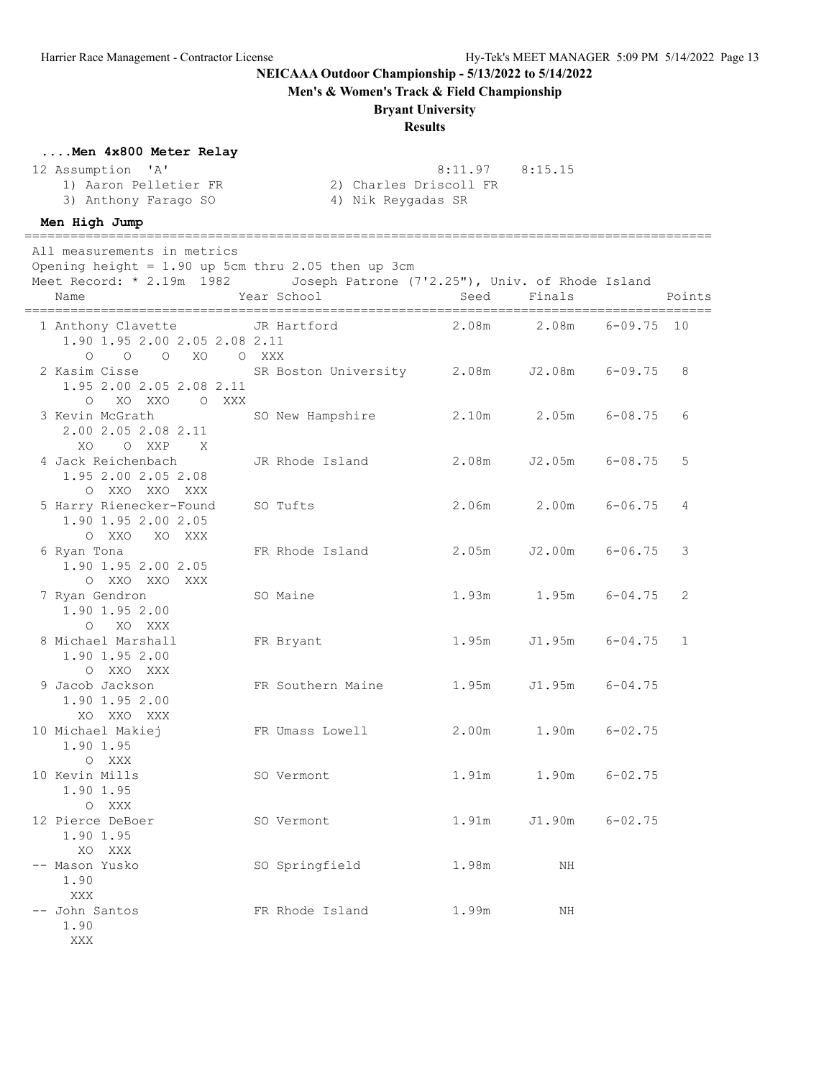**Men's & Women's Track & Field Championship**

#### **Bryant University**

#### **Results**

#### **....Men 4x800 Meter Relay**

#### 12 Assumption 'A' 8:11.97 8:15.15

 1) Aaron Pelletier FR 2) Charles Driscoll FR 3) Anthony Farago SO 4) Nik Reygadas SR

### **Men High Jump**

XXX

========================================================================================== All measurements in metrics Opening height =  $1.90$  up 5cm thru 2.05 then up 3cm Meet Record: \* 2.19m 1982 Joseph Patrone (7'2.25"), Univ. of Rhode Island Name Tear School Seed Finals Points ========================================================================================== 1 Anthony Clavette JR Hartford 2.08m 2.08m 6-09.75 10 1.90 1.95 2.00 2.05 2.08 2.11 O O O XO O XXX 2 Kasim Cisse SR Boston University 2.08m J2.08m 6-09.75 8 1.95 2.00 2.05 2.08 2.11 O XO XXO O XXX 3 Kevin McGrath SO New Hampshire 2.10m 2.05m 6-08.75 6 2.00 2.05 2.08 2.11 XO O XXP X<br>4 Jack Reichenbach 4 Jack Reichenbach JR Rhode Island 2.08m J2.05m 6-08.75 5 1.95 2.00 2.05 2.08 O XXO XXO XXX<br>5 Harry Rienecker-Found SO Tufts 2.06m 2.00m 6-06.75 4 1.90 1.95 2.00 2.05 O XXO XO XXX 6 Ryan Tona FR Rhode Island 2.05m J2.00m 6-06.75 3 1.90 1.95 2.00 2.05<br>
0 XXO XXX<br>
Nyan Gendron<br>
1.90 1.95 2.02<br>
1.90 1.95 2.02 O XXO XXO XXX 7 Ryan Gendron SO Maine 1.93m 1.95m 6-04.75 2 1.90 1.95 2.00 O XO XXX<br>8 Michael Marshall 6 FR Bryant 1.95m J1.95m 6-04.75 1 1.90 1.95 2.00 O XXO XXX 9 Jacob Jackson FR Southern Maine 1.95m J1.95m 6-04.75 1.90 1.95 2.00 XO XXO XXX 10 Michael Makiej FR Umass Lowell 2.00m 1.90m 6-02.75 1.90 1.95 O XXX 10 Kevin Mills SO Vermont 1.91m 1.90m 6-02.75 1.90 1.95 O XXX<br>12 Pierce DeBoer SO Vermont 1.91m J1.90m 6-02.75 1.90 1.95 XO XXX -- Mason Yusko SO Springfield 1.98m NH 1.90 XXX -- John Santos **FR** Rhode Island 1.99m NH 1.90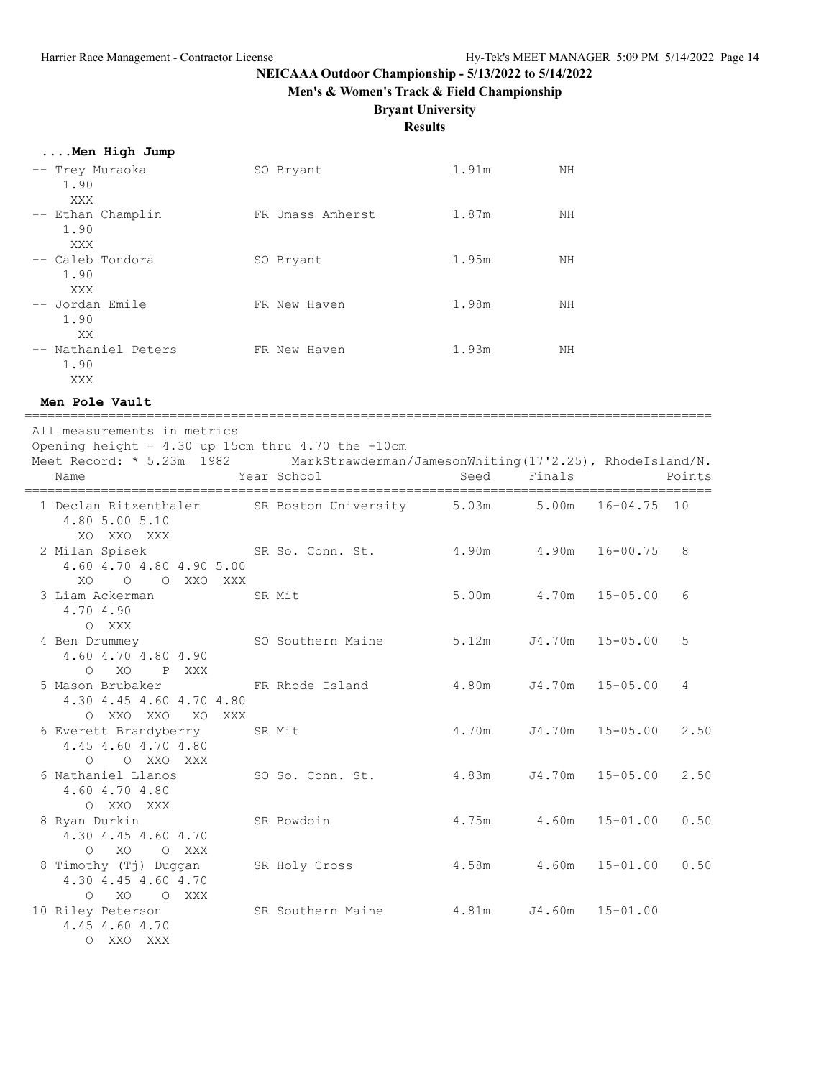**Men's & Women's Track & Field Championship**

# **Bryant University**

# **Results**

|  |  |  | Men High Jump |
|--|--|--|---------------|
|  |  |  |               |
|  |  |  |               |

| -- Trey Muraoka<br>1.90<br>XXX     | SO Bryant        | 1.91m | NΗ |
|------------------------------------|------------------|-------|----|
| -- Ethan Champlin<br>1.90<br>XXX   | FR Umass Amherst | 1.87m | NΗ |
| -- Caleb Tondora<br>1.90<br>XXX    | SO Bryant        | 1.95m | NΗ |
| -- Jordan Emile<br>1.90<br>XX      | FR New Haven     | 1.98m | NΗ |
| -- Nathaniel Peters<br>1.90<br>XXX | FR New Haven     | 1.93m | NΗ |

#### **Men Pole Vault**

| All measurements in metrics<br>Opening height = $4.30$ up 15cm thru 4.70 the +10cm<br>Meet Record: * 5.23m 1982 MarkStrawderman/JamesonWhiting(17'2.25), RhodeIsland/N.<br>Name | Year School       | Seed                        | Finals |                            | Points |
|---------------------------------------------------------------------------------------------------------------------------------------------------------------------------------|-------------------|-----------------------------|--------|----------------------------|--------|
| 1 Declan Ritzenthaler SR Boston University 5.03m 5.00m<br>4.80 5.00 5.10<br>XO XXO XXX                                                                                          |                   |                             |        | 16-04.75 10                |        |
| 2 Milan Spisek<br>4.60 4.70 4.80 4.90 5.00<br>XO O O XXO XXX                                                                                                                    | SR So. Conn. St.  | 4.90m 4.90m                 |        | 16-00.75                   | 8      |
| 3 Liam Ackerman<br>4.70 4.90<br>O XXX                                                                                                                                           | SR Mit            |                             |        | 5.00m 4.70m 15-05.00       | 6      |
| 4 Ben Drummey<br>4.60 4.70 4.80 4.90<br>XO                                                                                                                                      | SO Southern Maine | 5.12m J4.70m                |        | $15 - 05.00$               | 5      |
| P XXX<br>$\bigcirc$<br>5 Mason Brubaker<br>4.30 4.45 4.60 4.70 4.80<br>O XXO XXO XO XXX                                                                                         | FR Rhode Island   | 4.80m J4.70m                |        | $15 - 05.00$               | 4      |
| 6 Everett Brandyberry<br>4.45 4.60 4.70 4.80<br>O O XXO XXX                                                                                                                     | SR Mit            |                             |        | 4.70m J4.70m 15-05.00      | 2.50   |
| 6 Nathaniel Llanos<br>4.60 4.70 4.80<br>O XXO XXX                                                                                                                               | SO So. Conn. St.  | $4.83m$ $J4.70m$ $15-05.00$ |        |                            | 2.50   |
| 8 Ryan Durkin<br>4.30 4.45 4.60 4.70<br>XO<br>$\Omega$<br>O XXX                                                                                                                 | SR Bowdoin        |                             |        | $4.75m$ $4.60m$ $15-01.00$ | 0.50   |
| 8 Timothy (Tj) Duggan<br>4.30 4.45 4.60 4.70<br>0 XO O XXX                                                                                                                      | SR Holy Cross     | 4.58m 4.60m                 |        | $15 - 01.00$               | 0.50   |
| 10 Riley Peterson<br>4.45 4.60 4.70<br>O XXO XXX                                                                                                                                | SR Southern Maine |                             |        | 4.81m J4.60m 15-01.00      |        |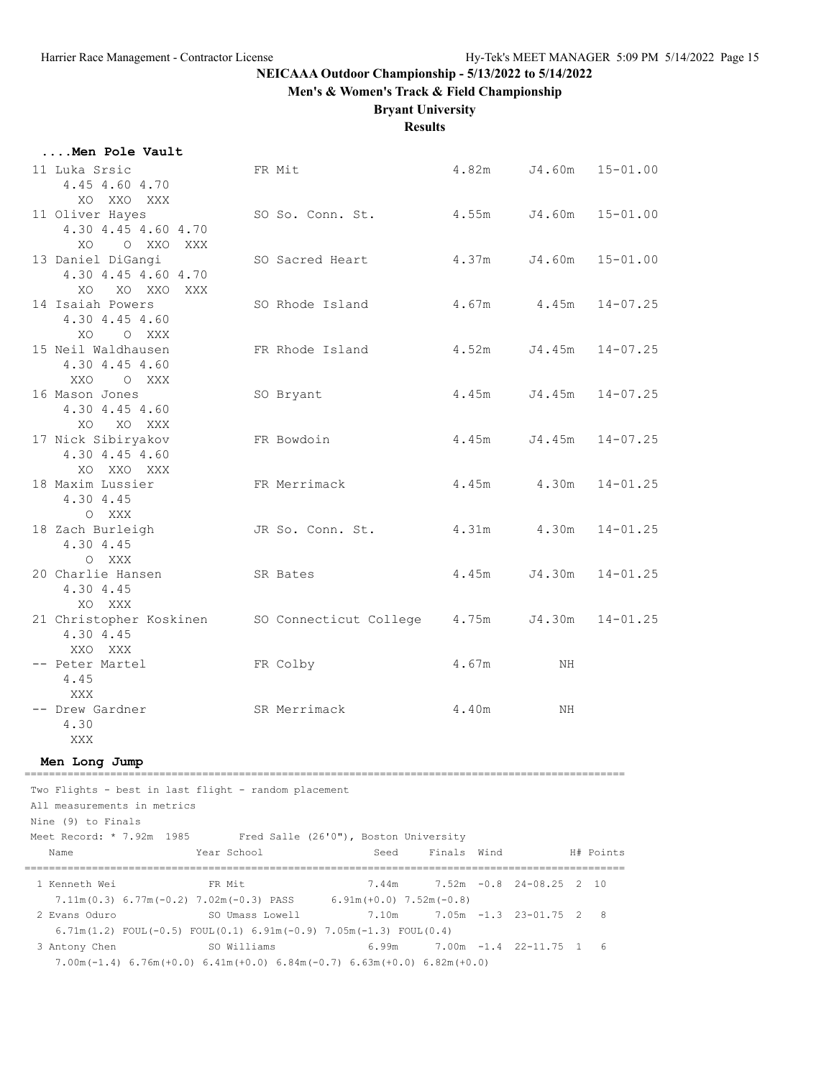**Men's & Women's Track & Field Championship**

# **Bryant University**

**Results**

| Men Pole Vault                                                                                                                                                                           |                                                                                                                                                                                            |             |                                                        |              |
|------------------------------------------------------------------------------------------------------------------------------------------------------------------------------------------|--------------------------------------------------------------------------------------------------------------------------------------------------------------------------------------------|-------------|--------------------------------------------------------|--------------|
| 11 Luka Srsic<br>4.45 4.60 4.70<br>XO XXO XXX                                                                                                                                            | FR Mit                                                                                                                                                                                     |             | 4.82m J4.60m                                           | $15 - 01.00$ |
| 11 Oliver Hayes<br>4.30 4.45 4.60 4.70                                                                                                                                                   | SO So. Conn. St. 4.55m                                                                                                                                                                     |             | J4.60m                                                 | $15 - 01.00$ |
| XO O XXO XXX<br>13 Daniel DiGangi<br>4.30 4.45 4.60 4.70                                                                                                                                 | SO Sacred Heart                                                                                                                                                                            | 4.37m       | J4.60m                                                 | $15 - 01.00$ |
| XO XO XXO XXX<br>14 Isaiah Powers<br>4.30 4.45 4.60                                                                                                                                      | SO Rhode Island                                                                                                                                                                            |             | $4.67m$ $4.45m$                                        | $14 - 07.25$ |
| XO O XXX<br>15 Neil Waldhausen<br>4.30 4.45 4.60                                                                                                                                         | FR Rhode Island                                                                                                                                                                            | 4.52m       | J4.45m                                                 | $14 - 07.25$ |
| XXO OXXX<br>16 Mason Jones<br>4.30 4.45 4.60                                                                                                                                             | SO Bryant                                                                                                                                                                                  | 4.45m       | J4.45m                                                 | $14 - 07.25$ |
| XO XO XXX<br>17 Nick Sibiryakov<br>4.30 4.45 4.60                                                                                                                                        | FR Bowdoin                                                                                                                                                                                 | 4.45m       | J4.45m                                                 | $14 - 07.25$ |
| XO XXO XXX<br>18 Maxim Lussier<br>4.30 4.45                                                                                                                                              | FR Merrimack                                                                                                                                                                               |             | 4.45m 4.30m                                            | $14 - 01.25$ |
| O XXX<br>18 Zach Burleigh JR So. Conn. St.<br>4.30 4.45<br>O XXX                                                                                                                         |                                                                                                                                                                                            |             | 4.31m 4.30m                                            | $14 - 01.25$ |
| 20 Charlie Hansen<br>4.30 4.45<br>XO XXX                                                                                                                                                 | SR Bates                                                                                                                                                                                   | 4.45m       | J4.30m                                                 | $14 - 01.25$ |
| 21 Christopher Koskinen<br>4.30 4.45<br>XXO XXX                                                                                                                                          | SO Connecticut College 4.75m                                                                                                                                                               |             | J4.30m                                                 | $14 - 01.25$ |
| -- Peter Martel<br>4.45<br>XXX                                                                                                                                                           | FR Colby                                                                                                                                                                                   | 4.67m       | ΝH                                                     |              |
| -- Drew Gardner<br>4.30<br>XXX                                                                                                                                                           | SR Merrimack                                                                                                                                                                               | 4.40m       | ΝH                                                     |              |
| Men Long Jump                                                                                                                                                                            |                                                                                                                                                                                            |             |                                                        |              |
| -----------------------<br>Two Flights - best in last flight - random placement<br>All measurements in metrics<br>Nine (9) to Finals<br>Meet Record: * 7.92m 1985<br>Year School<br>Name | Fred Salle (26'0"), Boston University<br>Seed                                                                                                                                              | Finals Wind |                                                        | H# Points    |
| 1 Kenneth Wei<br>FR Mit<br>2 Evans Oduro                                                                                                                                                 | 7.44m<br>7.11m (0.3) $6.77m(-0.2)$ 7.02m (-0.3) PASS $6.91m(+0.0)$ 7.52m (-0.8)<br>SO Umass Lowell<br>7.10m                                                                                |             | $7.52m -0.8$ 24-08.25 2 10<br>$7.05m - 1.3$ 23-01.75 2 | 8            |
| 3 Antony Chen                                                                                                                                                                            | $6.71m(1.2)$ FOUL $(-0.5)$ FOUL $(0.1)$ $6.91m(-0.9)$ $7.05m(-1.3)$ FOUL $(0.4)$<br>SO Williams<br>6.99m<br>$7.00m(-1.4)$ 6.76m (+0.0) 6.41m (+0.0) 6.84m (-0.7) 6.63m (+0.0) 6.82m (+0.0) |             | 7.00m -1.4 22-11.75 1                                  | 6            |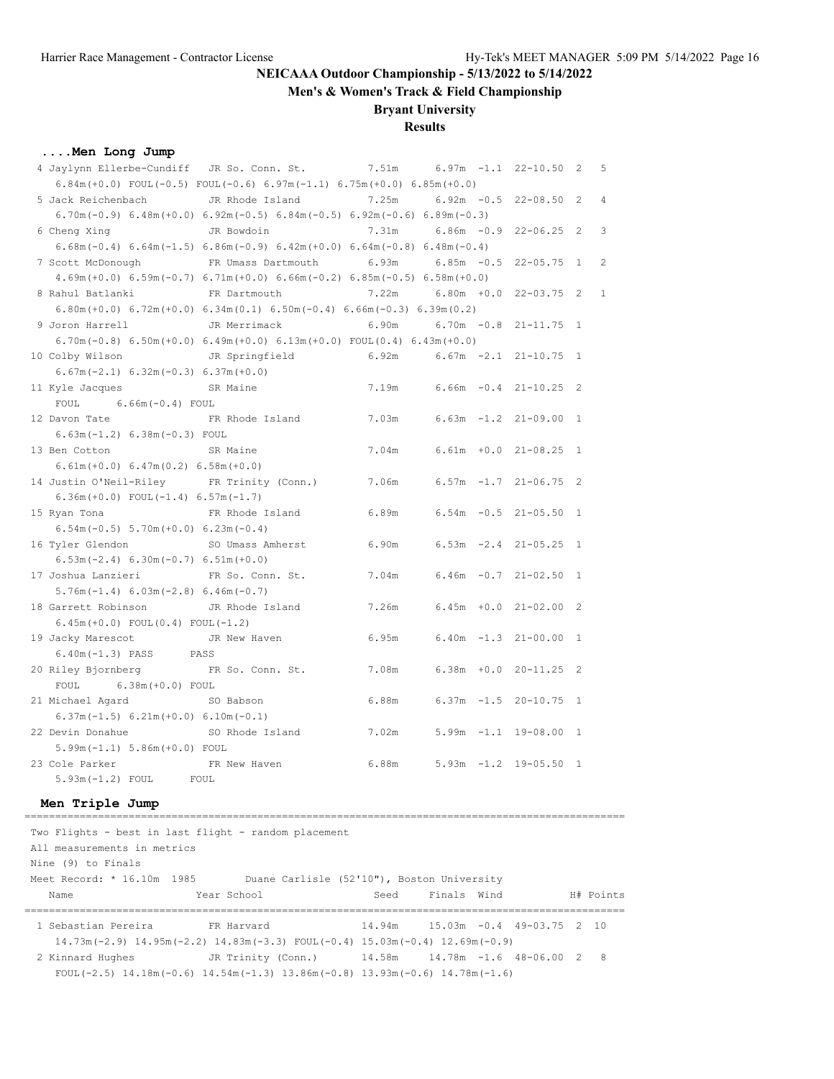**Men's & Women's Track & Field Championship**

#### **Bryant University**

#### **Results**

#### **....Men Long Jump**

| 4 Jaylynn Ellerbe-Cundiff JR So. Conn. St.      |                                                                                                                   | 7.51m |               | $6.97m - 1.1$ 22-10.50 2   | 5              |
|-------------------------------------------------|-------------------------------------------------------------------------------------------------------------------|-------|---------------|----------------------------|----------------|
|                                                 | $6.84$ m $(+0.0)$ FOUL $(-0.5)$ FOUL $(-0.6)$ $6.97$ m $(-1.1)$ $6.75$ m $(+0.0)$ $6.85$ m $(+0.0)$               |       |               |                            |                |
| 5 Jack Reichenbach                              | JR Rhode Island                                                                                                   | 7.25m |               | $6.92m - 0.5$ 22-08.50 2   | $\overline{4}$ |
|                                                 | $6.70$ m( $-0.9$ ) $6.48$ m( $+0.0$ ) $6.92$ m( $-0.5$ ) $6.84$ m( $-0.5$ ) $6.92$ m( $-0.6$ ) $6.89$ m( $-0.3$ ) |       |               |                            |                |
| 6 Cheng Xing                                    | JR Bowdoin                                                                                                        | 7.31m |               | $6.86m - 0.9$ 22-06.25 2   | 3              |
|                                                 | $6.68$ m $(-0.4)$ $6.64$ m $(-1.5)$ $6.86$ m $(-0.9)$ $6.42$ m $(+0.0)$ $6.64$ m $(-0.8)$ $6.48$ m $(-0.4)$       |       |               |                            |                |
| 7 Scott McDonough                               | FR Umass Dartmouth 6.93m                                                                                          |       | $6.85m - 0.5$ | $22 - 05.75$ 1             | $\mathcal{L}$  |
|                                                 | $4.69m (+0.0)$ $6.59m (-0.7)$ $6.71m (+0.0)$ $6.66m (-0.2)$ $6.85m (-0.5)$ $6.58m (+0.0)$                         |       |               |                            |                |
| 8 Rahul Batlanki                                | FR Dartmouth                                                                                                      | 7.22m |               | $6.80m + 0.0$ 22-03.75 2   | $\mathbf{1}$   |
|                                                 | $6.80m (+0.0)$ $6.72m (+0.0)$ $6.34m (0.1)$ $6.50m (-0.4)$ $6.66m (-0.3)$ $6.39m (0.2)$                           |       |               |                            |                |
| 9 Joron Harrell                                 | JR Merrimack                                                                                                      | 6.90m |               | $6.70m - 0.8$ 21-11.75 1   |                |
|                                                 | $6.70$ m $(-0.8)$ $6.50$ m $(+0.0)$ $6.49$ m $(+0.0)$ $6.13$ m $(+0.0)$ $FOUL(0.4)$ $6.43$ m $(+0.0)$             |       |               |                            |                |
| 10 Colby Wilson                                 | JR Springfield                                                                                                    | 6.92m |               | $6.67m - 2.1$ $21-10.75$ 1 |                |
| $6.67m(-2.1) 6.32m(-0.3) 6.37m(+0.0)$           |                                                                                                                   |       |               |                            |                |
| 11 Kyle Jacques                                 | SR Maine                                                                                                          | 7.19m |               | $6.66m - 0.4$ 21-10.25 2   |                |
| $6.66m(-0.4)$ FOUL<br>FOUL                      |                                                                                                                   |       |               |                            |                |
| 12 Davon Tate                                   | FR Rhode Island                                                                                                   | 7.03m |               | $6.63m -1.2$ 21-09.00 1    |                |
| $6.63m(-1.2) 6.38m(-0.3)$ FOUL                  |                                                                                                                   |       |               |                            |                |
| 13 Ben Cotton<br><b>Example 18 SR Maine</b>     |                                                                                                                   | 7.04m |               | $6.61m + 0.0 21 - 08.25 1$ |                |
| $6.61m (+0.0) 6.47m (0.2) 6.58m (+0.0)$         |                                                                                                                   |       |               |                            |                |
| 14 Justin O'Neil-Riley FR Trinity (Conn.) 7.06m |                                                                                                                   |       |               | $6.57m - 1.7$ 21-06.75 2   |                |
| $6.36m (+0.0)$ FOUL $(-1.4)$ $6.57m (-1.7)$     |                                                                                                                   |       |               |                            |                |
| 15 Ryan Tona                                    | FR Rhode Island                                                                                                   | 6.89m |               | $6.54m - 0.5$ 21-05.50 1   |                |
| $6.54m(-0.5)$ $5.70m(+0.0)$ $6.23m(-0.4)$       |                                                                                                                   |       |               |                            |                |
| 16 Tyler Glendon                                | SO Umass Amherst                                                                                                  | 6.90m |               | $6.53m -2.4$ 21-05.25 1    |                |
| $6.53m(-2.4) 6.30m(-0.7) 6.51m(+0.0)$           |                                                                                                                   |       |               |                            |                |
| 17 Joshua Lanzieri                              | FR So. Conn. St.                                                                                                  | 7.04m |               | $6.46m - 0.7$ 21-02.50 1   |                |
| $5.76m(-1.4) 6.03m(-2.8) 6.46m(-0.7)$           |                                                                                                                   |       |               |                            |                |
| 18 Garrett Robinson                             | JR Rhode Island                                                                                                   | 7.26m |               | $6.45m + 0.0 21 - 02.00 2$ |                |
| $6.45m (+0.0)$ FOUL $(0.4)$ FOUL $(-1.2)$       |                                                                                                                   |       |               |                            |                |
| 19 Jacky Marescot                               | JR New Haven                                                                                                      | 6.95m |               | $6.40m -1.3 21-00.00 1$    |                |
| $6.40m(-1.3)$ PASS PASS                         |                                                                                                                   |       |               |                            |                |
| 20 Riley Bjornberg                              | FR So. Conn. St.                                                                                                  | 7.08m |               | $6.38m + 0.0 20 - 11.25 2$ |                |
| $6.38m (+0.0)$ FOUL<br>FOUL                     |                                                                                                                   |       |               |                            |                |
| 21 Michael Agard                                | SO Babson                                                                                                         | 6.88m |               | $6.37m - 1.5$ 20-10.75 1   |                |
| $6.37m(-1.5) 6.21m(+0.0) 6.10m(-0.1)$           |                                                                                                                   |       |               |                            |                |
| 22 Devin Donahue                                | SO Rhode Island                                                                                                   | 7.02m |               | $5.99m - 1.1$ 19-08.00 1   |                |
| $5.99m(-1.1) 5.86m(+0.0)$ FOUL                  |                                                                                                                   |       |               |                            |                |
| 23 Cole Parker                                  | FR New Haven                                                                                                      | 6.88m |               | $5.93m -1.2$ 19-05.50 1    |                |
| $5.93m(-1.2)$ FOUL                              | FOUL.                                                                                                             |       |               |                            |                |

# **Men Triple Jump**

================================================================================================== Two Flights - best in last flight - random placement All measurements in metrics Nine (9) to Finals Meet Record: \* 16.10m 1985 Duane Carlisle (52'10"), Boston University Name Year School Seed Finals Wind H# Points ================================================================================================== 1 Sebastian Pereira FR Harvard 14.94m 15.03m -0.4 49-03.75 2 10 14.73m(-2.9) 14.95m(-2.2) 14.83m(-3.3) FOUL(-0.4) 15.03m(-0.4) 12.69m(-0.9) 2 Kinnard Hughes JR Trinity (Conn.) 14.58m 14.78m -1.6 48-06.00 2 8 FOUL(-2.5) 14.18m(-0.6) 14.54m(-1.3) 13.86m(-0.8) 13.93m(-0.6) 14.78m(-1.6)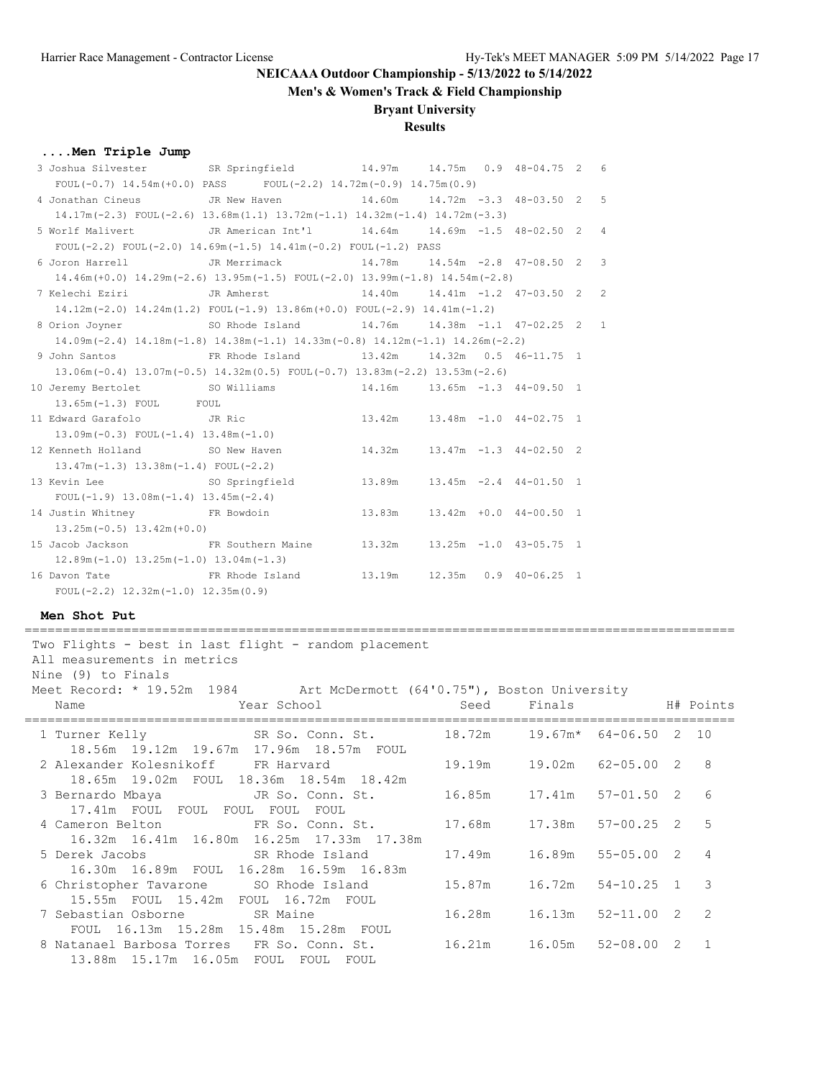**Men's & Women's Track & Field Championship**

### **Bryant University**

### **Results**

### **....Men Triple Jump**

| 3 Joshua Silvester SR Springfield 14.97m 14.75m 0.9 48-04.75 2 6       |                                                                                                       |                                       |  |  |                |
|------------------------------------------------------------------------|-------------------------------------------------------------------------------------------------------|---------------------------------------|--|--|----------------|
|                                                                        | FOUL $(-0.7)$ 14.54m $(+0.0)$ PASS FOUL $(-2.2)$ 14.72m $(-0.9)$ 14.75m $(0.9)$                       |                                       |  |  |                |
| 4 Jonathan Cineus                                                      | JR New Haven<br>$14.60m$ $14.72m$ $-3.3$ $48-03.50$ 2 5                                               |                                       |  |  |                |
|                                                                        | $14.17m(-2.3)$ FOUL $(-2.6)$ $13.68m(1.1)$ $13.72m(-1.1)$ $14.32m(-1.4)$ $14.72m(-3.3)$               |                                       |  |  |                |
| 5 Worlf Malivert                                                       | JR American Int'l 14.64m 14.69m -1.5 48-02.50 2                                                       |                                       |  |  | $\overline{4}$ |
|                                                                        | FOUL $(-2.2)$ FOUL $(-2.0)$ 14.69m $(-1.5)$ 14.41m $(-0.2)$ FOUL $(-1.2)$ PASS                        |                                       |  |  |                |
| 6 Joron Harrell Comparent JR Merrimack 14.78m 14.54m -2.8 47-08.50 2 3 |                                                                                                       |                                       |  |  |                |
|                                                                        | $14.46m (+0.0)$ $14.29m (-2.6)$ $13.95m (-1.5)$ $FOUL (-2.0)$ $13.99m (-1.8)$ $14.54m (-2.8)$         |                                       |  |  |                |
|                                                                        | $14.40m$ $14.41m$ $-1.2$ $47-03.50$ 2 2                                                               |                                       |  |  |                |
|                                                                        | $14.12m(-2.0)$ $14.24m(1.2)$ FOUL $(-1.9)$ $13.86m(+0.0)$ FOUL $(-2.9)$ $14.41m(-1.2)$                |                                       |  |  |                |
| 8 Orion Joyner 50 Rhode Island 14.76m 14.38m -1.1 47-02.25 2 1         |                                                                                                       |                                       |  |  |                |
|                                                                        | $14.09$ m (-2.4) $14.18$ m (-1.8) $14.38$ m (-1.1) $14.33$ m (-0.8) $14.12$ m (-1.1) $14.26$ m (-2.2) |                                       |  |  |                |
| 9 John Santos                                                          | FR Rhode Island 13.42m 14.32m 0.5 46-11.75 1                                                          |                                       |  |  |                |
|                                                                        | $13.06m(-0.4)$ $13.07m(-0.5)$ $14.32m(0.5)$ FOUL $(-0.7)$ $13.83m(-2.2)$ $13.53m(-2.6)$               |                                       |  |  |                |
| 10 Jeremy Bertolet 50 Williams 14.16m 13.65m -1.3 44-09.50 1           |                                                                                                       |                                       |  |  |                |
| 13.65m (-1.3) FOUL FOUL                                                |                                                                                                       |                                       |  |  |                |
| 11 Edward Garafolo JR Ric                                              |                                                                                                       | 13.42m  13.48m -1.0  44-02.75  1      |  |  |                |
| $13.09m(-0.3)$ FOUL $(-1.4)$ $13.48m(-1.0)$                            |                                                                                                       |                                       |  |  |                |
| 12 Kenneth Holland SO New Haven                                        |                                                                                                       | $14.32m$ $13.47m$ $-1.3$ $44-02.50$ 2 |  |  |                |
| $13.47m(-1.3)$ $13.38m(-1.4)$ FOUL(-2.2)                               |                                                                                                       |                                       |  |  |                |
| 13 Kevin Lee SO Springfield                                            |                                                                                                       | $13.89m$ $13.45m$ $-2.4$ $44-01.50$ 1 |  |  |                |
| $FOUL(-1.9)$ 13.08m $(-1.4)$ 13.45m $(-2.4)$                           |                                                                                                       |                                       |  |  |                |
| 14 Justin Whitney FR Bowdoin                                           |                                                                                                       | 13.83m   13.42m   +0.0   44-00.50   1 |  |  |                |
| $13.25m(-0.5)$ $13.42m(+0.0)$                                          |                                                                                                       |                                       |  |  |                |
| 15 Jacob Jackson FR Southern Maine 13.32m 13.25m -1.0 43-05.75 1       |                                                                                                       |                                       |  |  |                |
| $12.89m(-1.0)$ $13.25m(-1.0)$ $13.04m(-1.3)$                           |                                                                                                       |                                       |  |  |                |
| 16 Davon Tate The Stand ER Rhode Island                                |                                                                                                       |                                       |  |  |                |
| FOUL $(-2.2)$ 12.32m $(-1.0)$ 12.35m $(0.9)$                           |                                                                                                       |                                       |  |  |                |

#### **Men Shot Put**

| Two Flights - best in last flight - random placement<br>All measurements in metrics<br>Nine (9) to Finals<br>Meet Record: * 19.52m 1984 Art McDermott (64'0.75"), Boston University |        |                                    |                   |                |
|-------------------------------------------------------------------------------------------------------------------------------------------------------------------------------------|--------|------------------------------------|-------------------|----------------|
| <b>Example 2018</b> Year School<br>Name                                                                                                                                             | Seed   | Finals                             | H# Points         |                |
| 1 Turner Kelly<br>SR So. Conn. St.<br>18.56m  19.12m  19.67m  17.96m  18.57m  FOUL                                                                                                  |        | $18.72m$ $19.67m*$ $64-06.50$ 2 10 |                   |                |
| 2 Alexander Kolesnikoff FR Harvard<br>18.65m 19.02m FOUL 18.36m 18.54m 18.42m                                                                                                       |        | 19.19m  19.02m  62-05.00  2        |                   | 8              |
| 3 Bernardo Mbaya<br>JR So. Conn. St.<br>17.41m FOUL FOUL FOUL FOUL FOUL                                                                                                             |        | 16.85m  17.41m  57-01.50  2        |                   | 6              |
| 4 Cameron Belton TR So. Conn. St.<br>16.32m 16.41m 16.80m 16.25m 17.33m 17.38m                                                                                                      |        | 17.68m  17.38m  57-00.25  2        |                   | 5              |
| 5 Derek Jacobs SR Rhode Island<br>16.30m 16.89m FOUL 16.28m 16.59m 16.83m                                                                                                           |        | 17.49m 16.89m 55-05.00 2           |                   | $\overline{4}$ |
| 6 Christopher Tavarone SO Rhode Island<br>15.55m FOUL 15.42m FOUL 16.72m FOUL                                                                                                       | 15.87m |                                    | 16.72m 54-10.25 1 | 3              |
| 7 Sebastian Osborne SR Maine<br>FOUL 16.13m 15.28m 15.48m 15.28m FOUL                                                                                                               |        |                                    |                   | $\mathcal{L}$  |
| 8 Natanael Barbosa Torres FR So. Conn. St.<br>13.88m 15.17m 16.05m FOUL FOUL FOUL                                                                                                   |        | 16.21m 16.05m 52-08.00 2           |                   | $\overline{1}$ |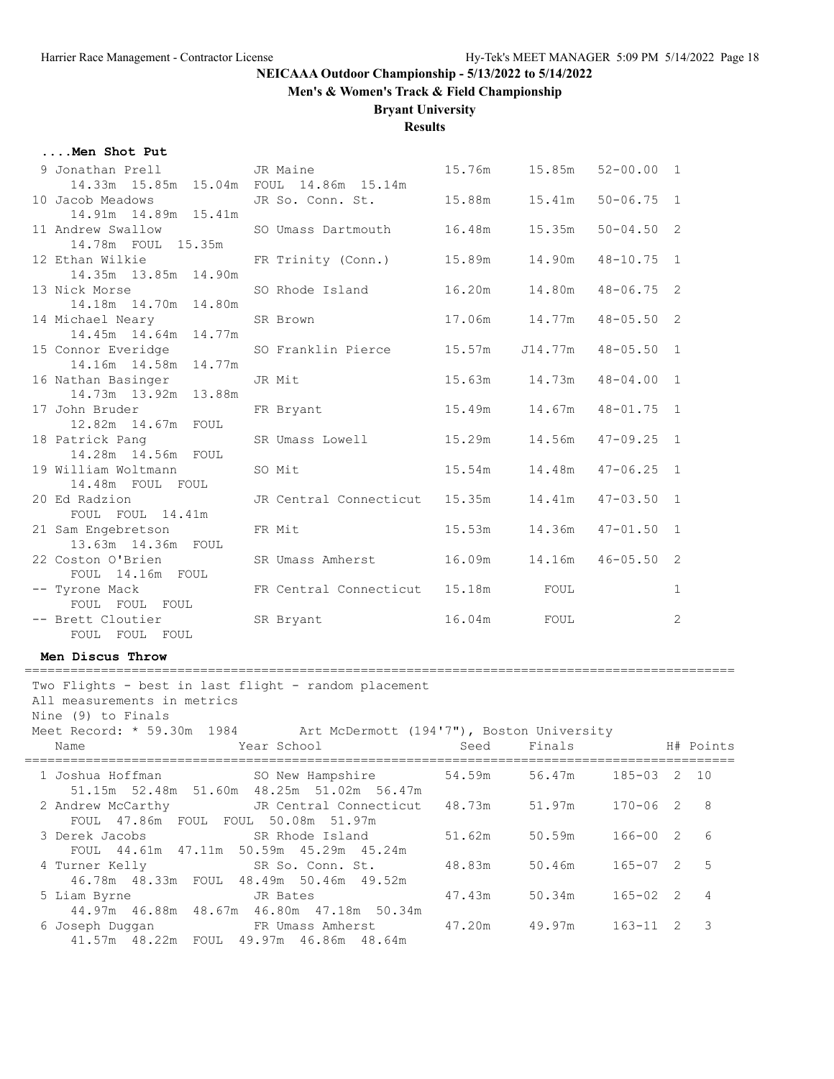**Men's & Women's Track & Field Championship**

#### **Bryant University**

**Results**

#### **....Men Shot Put**

| 9 Jonathan Prell                        | JR Maine                             |        | 15.76m  15.85m  52-00.00  1 |                     |              |
|-----------------------------------------|--------------------------------------|--------|-----------------------------|---------------------|--------------|
| 14.33m 15.85m 15.04m FOUL 14.86m 15.14m |                                      |        |                             |                     |              |
| 10 Jacob Meadows                        | JR So. Conn. St. 15.88m 15.41m       |        |                             | $50 - 06.75$ 1      |              |
| 14.91m  14.89m  15.41m                  |                                      |        |                             |                     |              |
| 11 Andrew Swallow                       | SO Umass Dartmouth 16.48m            |        | 15.35m                      | $50 - 04.50$ 2      |              |
| 14.78m FOUL 15.35m                      |                                      |        |                             |                     |              |
| 12 Ethan Wilkie                         | FR Trinity (Conn.) 15.89m            |        | 14.90m                      | $48 - 10.75$ 1      |              |
| 14.35m 13.85m 14.90m                    |                                      |        |                             |                     |              |
| 13 Nick Morse                           | SO Rhode Island 16.20m               |        | 14.80m                      | $48 - 06.75$ 2      |              |
| 14.18m  14.70m  14.80m                  |                                      |        |                             |                     |              |
| 14 Michael Neary                        | SR Brown                             |        |                             | $48 - 05.50$ 2      |              |
| 14.45m  14.64m  14.77m                  |                                      |        |                             |                     |              |
| 15 Connor Everidge                      | SO Franklin Pierce 15.57m J14.77m    |        |                             | $48 - 05.50$ 1      |              |
| 14.16m  14.58m  14.77m                  |                                      |        |                             |                     |              |
| 16 Nathan Basinger                      | JR Mit                               |        | 15.63m  14.73m  48-04.00  1 |                     |              |
| 14.73m  13.92m  13.88m                  |                                      |        |                             |                     |              |
| 17 John Bruder National School          | $15.49m$ $14.67m$<br>FR Bryant       |        |                             | $48 - 01.75$ 1      |              |
| 12.82m  14.67m  FOUL                    |                                      |        |                             |                     |              |
| 18 Patrick Pang                         | SR Umass Lowell                      | 15.29m | 14.56m                      | $47 - 09.25$ 1      |              |
| 14.28m  14.56m  FOUL                    |                                      |        |                             |                     |              |
| 19 William Woltmann                     | SO Mit                               |        |                             | $47 - 06.25$ 1      |              |
| 14.48m FOUL FOUL                        |                                      |        |                             |                     |              |
| 20 Ed Radzion                           | JR Central Connecticut 15.35m 14.41m |        |                             | $47 - 03.50$ 1      |              |
| FOUL FOUL 14.41m                        |                                      |        |                             |                     |              |
| 21 Sam Engebretson                      | FR Mit                               | 15.53m | 14.36m                      | $47 - 01.50$ 1      |              |
| 13.63m  14.36m  FOUL                    |                                      |        |                             |                     |              |
| 22 Coston O'Brien                       | SR Umass Amherst 16.09m              |        |                             | 14.16m  46-05.50  2 |              |
| FOUL 14.16m FOUL                        |                                      |        |                             |                     |              |
| -- Tyrone Mack                          | FR Central Connecticut 15.18m FOUL   |        |                             |                     | $\mathbf{1}$ |
| FOUL FOUL FOUL                          |                                      |        |                             |                     |              |
| -- Brett Cloutier                       | SR Bryant                            | 16.04m | FOUL                        |                     | 2            |
| FOUL FOUL FOUL                          |                                      |        |                             |                     |              |

**Men Discus Throw**

Two Flights - best in last flight - random placement All measurements in metrics Nine (9) to Finals Meet Record: \* 59.30m 1984 Art McDermott (194'7"), Boston University Name  $Year School$  Seed Finals H# Points ============================================================================================= 1 Joshua Hoffman SO New Hampshire 54.59m 56.47m 185-03 2 10 51.15m 52.48m 51.60m 48.25m 51.02m 56.47m 2 Andrew McCarthy JR Central Connecticut 48.73m 51.97m 170-06 2 8 FOUL 47.86m FOUL FOUL 50.08m 51.97m 3 Derek Jacobs SR Rhode Island 51.62m 50.59m 166-00 2 6 FOUL 44.61m 47.11m 50.59m 45.29m 45.24m 4 Turner Kelly SR So. Conn. St. 48.83m 50.46m 165-07 2 5

=============================================================================================

| 46.78m  48.33m  FOUL  48.49m  50.46m  49.52m           |  |  |                                           |        |        |            |  |
|--------------------------------------------------------|--|--|-------------------------------------------|--------|--------|------------|--|
| 5 Liam Byrne by JR Bates                               |  |  |                                           | 47.43m | 50.34m | 165-02 2 4 |  |
|                                                        |  |  | 44.97m 46.88m 48.67m 46.80m 47.18m 50.34m |        |        |            |  |
| 6 Joseph Duggan                       FR Umass Amherst |  |  |                                           | 47.20m | 49.97m | 163-11 2 3 |  |
| 41.57m 48.22m FOUL 49.97m 46.86m 48.64m                |  |  |                                           |        |        |            |  |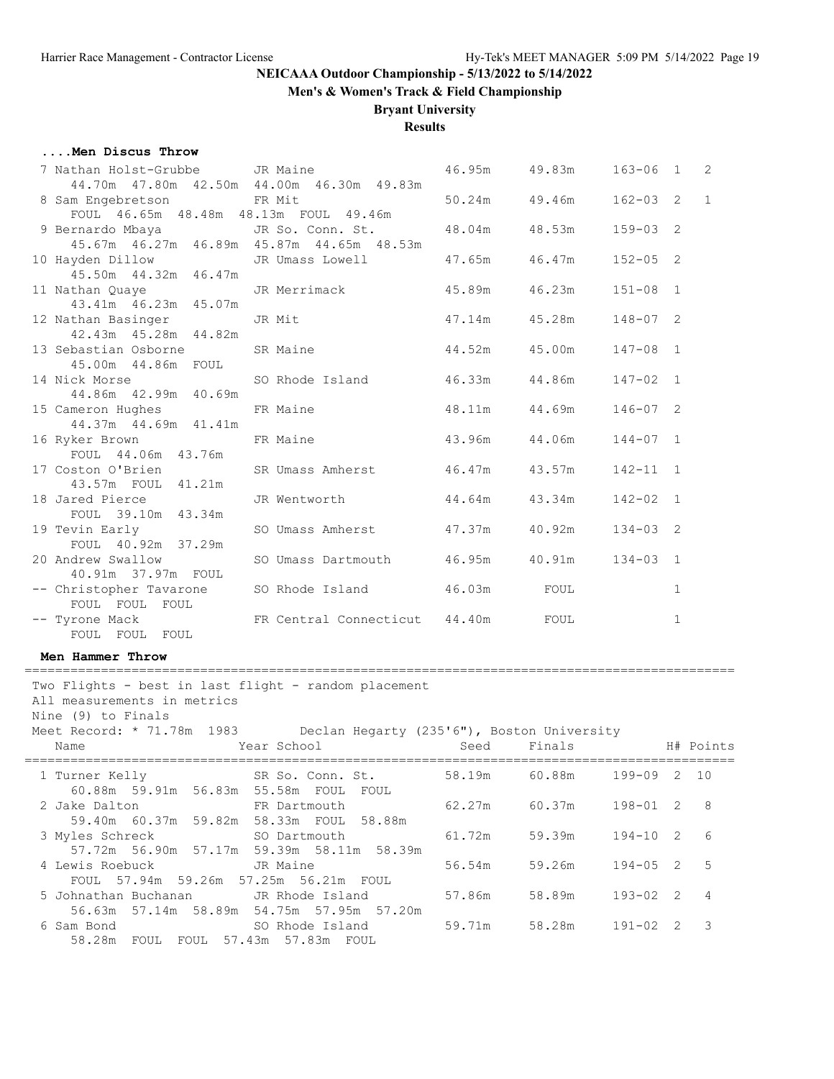**Men's & Women's Track & Field Championship**

#### **Bryant University**

#### **Results**

#### **....Men Discus Throw**

| 7 Nathan Holst-Grubbe JR Maine                            |                                                | 46.95m 49.83m     | $163 - 06$ 1 2 |              |              |
|-----------------------------------------------------------|------------------------------------------------|-------------------|----------------|--------------|--------------|
|                                                           | 44.70m  47.80m  42.50m  44.00m  46.30m  49.83m |                   |                |              |              |
| 8 Sam Engebretson FR Mit                                  |                                                | 50.24m 49.46m     | $162 - 03$ 2   |              | $\mathbf{1}$ |
| FOUL $46.65m$ $48.48m$ $48.13m$ FOUL $49.46m$             |                                                |                   |                |              |              |
| 9 Bernardo Mbaya JR So. Conn. St. 48.04m 48.53m           |                                                |                   | $159 - 03$ 2   |              |              |
|                                                           | 45.67m  46.27m  46.89m  45.87m  44.65m  48.53m |                   |                |              |              |
| 10 Hayden Dillow JR Umass Lowell 47.65m 46.47m            |                                                |                   | $152 - 05$ 2   |              |              |
| 45.50m  44.32m  46.47m                                    |                                                |                   |                |              |              |
| 11 Nathan Quaye JR Merrimack<br>43.41m 46.23m 45.07m      |                                                | $45.89m$ $46.23m$ | $151 - 08$ 1   |              |              |
|                                                           |                                                |                   |                |              |              |
| 12 Nathan Basinger JR Mit                                 |                                                | 47.14m  45.28m    | $148 - 07$ 2   |              |              |
| 42.43m  45.28m  44.82m                                    |                                                |                   |                |              |              |
| 13 Sebastian Osborne SR Maine 144.52m 45.00m              |                                                |                   | $147 - 08$ 1   |              |              |
| 45.00m  44.86m  FOUL                                      |                                                |                   |                |              |              |
| 14 Nick Morse 50 Rhode Island 46.33m 44.86m 42.99m 40.69m |                                                |                   | $147 - 02$ 1   |              |              |
|                                                           |                                                |                   |                |              |              |
| 15 Cameron Hughes FR Maine 48.11m 44.69m                  |                                                |                   | $146 - 07$ 2   |              |              |
| 44.37m 44.69m 41.41m                                      |                                                |                   |                |              |              |
| 16 Ryker Brown <b>ER Maine</b> 6 and 43.96m 44.06m        |                                                |                   | $144 - 07$ 1   |              |              |
| FOUL 44.06m 43.76m                                        |                                                |                   |                |              |              |
| 17 Coston O'Brien SR Umass Amherst 46.47m 43.57m          |                                                |                   | $142 - 11$ 1   |              |              |
| 43.57m FOUL 41.21m                                        |                                                |                   |                |              |              |
| 18 Jared Pierce The Mentworth 544.64m 43.34m              |                                                |                   | $142 - 02$ 1   |              |              |
| FOUL 39.10m 43.34m                                        |                                                |                   |                |              |              |
| 19 Tevin Early SO Umass Amherst 47.37m 40.92m             |                                                |                   | $134 - 03$ 2   |              |              |
| FOUL 40.92m 37.29m                                        |                                                |                   |                |              |              |
| 20 Andrew Swallow                                         | SO Umass Dartmouth 46.95m 40.91m               |                   | $134 - 03$ 1   |              |              |
| 40.91m 37.97m FOUL                                        |                                                |                   |                |              |              |
| -- Christopher Tavarone SO Rhode Island 46.03m FOUL       |                                                |                   |                | $\mathbf{1}$ |              |
| FOUL FOUL FOUL                                            |                                                |                   |                |              |              |
| -- Tyrone Mack FR Central Connecticut 44.40m FOUL         |                                                |                   |                | $\mathbf{1}$ |              |
| FOUL FOUL FOUL                                            |                                                |                   |                |              |              |

**Men Hammer Throw**

Two Flights - best in last flight - random placement All measurements in metrics Nine (9) to Finals Meet Record: \* 71.78m 1983 Declan Hegarty (235'6"), Boston University Name 1988 Mear School Seed Finals H# Points ============================================================================================= 1 Turner Kelly 60.88m 59.91m 56.83m 55.58m FOUL FOUL 2 Jake Dalton FR Dartmouth 62.27m 60.37m 198-01 2 8 59.40m 60.37m 59.82m 58.33m FOUL 58.88m 3 Myles Schreck SO Dartmouth 61.72m 59.39m 194-10 2 6 57.72m 56.90m 57.17m 59.39m 58.11m 58.39m 4 Lewis Roebuck JR Maine 56.54m 59.26m 194-05 2 5 FOUL 57.94m 59.26m 57.25m 56.21m FOUL 5 Johnathan Buchanan JR Rhode Island 57.86m 58.89m 193-02 2 4 56.63m 57.14m 58.89m 54.75m 57.95m 57.20m SO Rhode Island 59.71m 58.28m 191-02 2 3 58.28m FOUL FOUL 57.43m 57.83m FOUL

=============================================================================================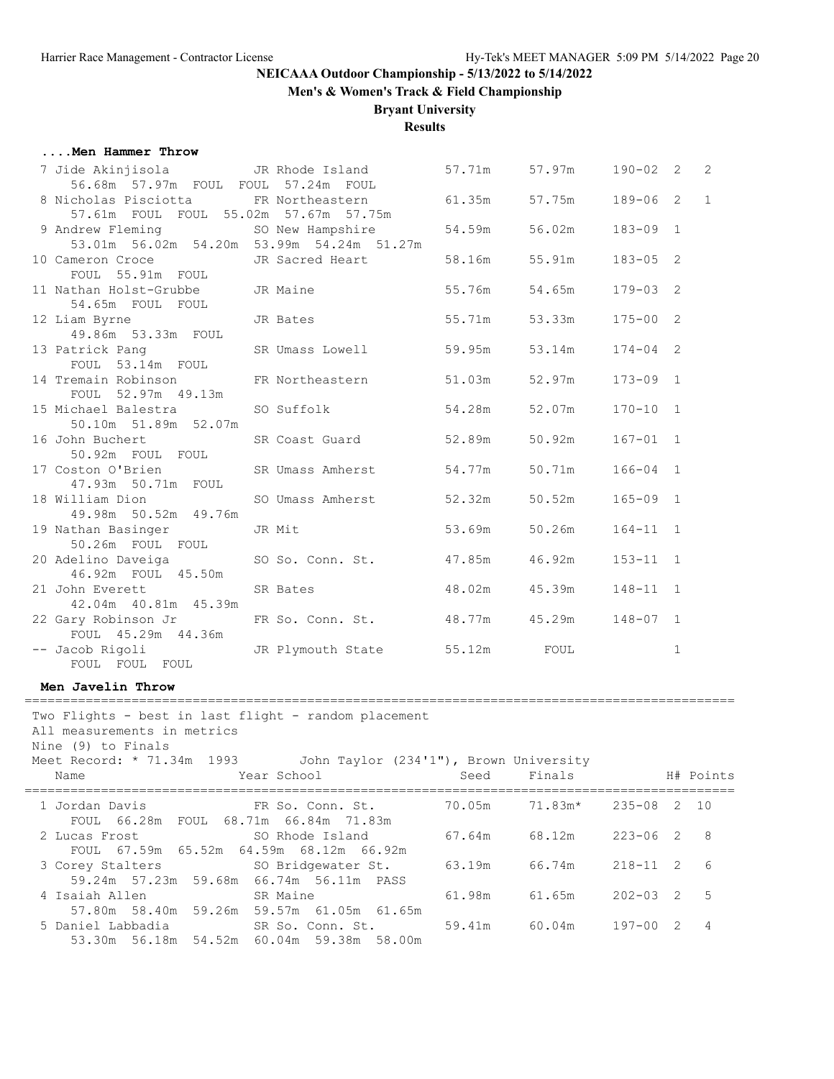**Men's & Women's Track & Field Championship**

### **Bryant University**

**Results**

#### **....Men Hammer Throw**

| 7 Jide Akinjisola                                                 | JR Rhode Island                           | 57.71m | 57.97m | $190 - 02$ 2 |              | 2            |
|-------------------------------------------------------------------|-------------------------------------------|--------|--------|--------------|--------------|--------------|
| 56.68m 57.97m FOUL FOUL 57.24m FOUL<br>8 Nicholas Pisciotta       | FR Northeastern                           | 61.35m | 57.75m | $189 - 06$ 2 |              | $\mathbf{1}$ |
| 57.61m FOUL FOUL 55.02m 57.67m 57.75m                             |                                           |        |        |              |              |              |
| 9 Andrew Fleming                                                  | SO New Hampshire                          | 54.59m | 56.02m | $183 - 09$ 1 |              |              |
|                                                                   | 53.01m 56.02m 54.20m 53.99m 54.24m 51.27m |        |        |              |              |              |
| 10 Cameron Croce                                                  | JR Sacred Heart                           | 58.16m | 55.91m | $183 - 05$ 2 |              |              |
| FOUL 55.91m FOUL                                                  |                                           |        |        |              |              |              |
| 11 Nathan Holst-Grubbe                                            | JR Maine                                  | 55.76m | 54.65m | $179 - 03$ 2 |              |              |
| 54.65m FOUL FOUL                                                  |                                           |        |        |              |              |              |
| 12 Liam Byrne                                                     | JR Bates                                  | 55.71m | 53.33m | $175 - 00$ 2 |              |              |
| 49.86m 53.33m FOUL                                                |                                           |        |        |              |              |              |
| 13 Patrick Pang                                                   | SR Umass Lowell                           | 59.95m | 53.14m | $174 - 04$ 2 |              |              |
| FOUL 53.14m FOUL                                                  |                                           |        |        |              |              |              |
| 14 Tremain Robinson                                               | FR Northeastern                           | 51.03m | 52.97m | $173 - 09$ 1 |              |              |
| FOUL 52.97m 49.13m<br>15 Michael Balestra                         | SO Suffolk                                | 54.28m | 52.07m | $170 - 10$ 1 |              |              |
| 50.10m 51.89m 52.07m                                              |                                           |        |        |              |              |              |
| 16 John Buchert                                                   | SR Coast Guard                            | 52.89m | 50.92m | $167 - 01$ 1 |              |              |
| 50.92m FOUL FOUL                                                  |                                           |        |        |              |              |              |
| 17 Coston O'Brien                                                 | SR Umass Amherst                          | 54.77m | 50.71m | $166 - 04$ 1 |              |              |
| 47.93m 50.71m FOUL                                                |                                           |        |        |              |              |              |
| 18 William Dion                                                   | SO Umass Amherst                          | 52.32m | 50.52m | $165 - 09$ 1 |              |              |
| 49.98m 50.52m 49.76m                                              |                                           |        |        |              |              |              |
| 19 Nathan Basinger                                                | JR Mit                                    | 53.69m | 50.26m | $164 - 11$ 1 |              |              |
| 50.26m FOUL FOUL                                                  |                                           |        |        |              |              |              |
| 20 Adelino Daveiga                                                | SO So. Conn. St.                          | 47.85m | 46.92m | $153 - 11$ 1 |              |              |
| 46.92m FOUL 45.50m                                                |                                           |        |        |              |              |              |
| 21 John Everett                                                   | SR Bates                                  | 48.02m | 45.39m | $148 - 11$ 1 |              |              |
| 42.04m  40.81m  45.39m                                            |                                           |        |        |              |              |              |
| 22 Gary Robinson Jr                                               | FR So. Conn. St.                          | 48.77m | 45.29m | $148 - 07$ 1 |              |              |
| FOUL 45.29m 44.36m                                                |                                           |        |        |              |              |              |
| -- Jacob Rigoli<br>FOUL FOUL FOUL                                 | JR Plymouth State                         | 55.12m | FOUL   |              | $\mathbf{1}$ |              |
|                                                                   |                                           |        |        |              |              |              |
| Men Javelin Throw                                                 |                                           |        |        |              |              |              |
| Two Flights - best in last flight - random placement              |                                           |        |        |              |              |              |
| All measurements in metrics                                       |                                           |        |        |              |              |              |
| Nine (9) to Finals                                                |                                           |        |        |              |              |              |
| Meet Record: * 71.34m 1993 John Taylor (234'1"), Brown University |                                           |        |        |              |              |              |
| Name                                                              | Year School<br><u>seed Seed</u>           |        | Finals |              |              | H# Points    |

| Name                 | Year School                                                                           | Seed   | Finals                |                | H# Points |
|----------------------|---------------------------------------------------------------------------------------|--------|-----------------------|----------------|-----------|
| 1 Jordan Davis       | FR So. Conn. St.<br>FOUL 66.28m FOUL 68.71m 66.84m 71.83m                             | 70.05m | $71.83m*$ 235-08 2 10 |                |           |
| 2 Lucas Frost        | SO Rhode Island<br>FOUL 67.59m 65.52m 64.59m 68.12m 66.92m                            | 67.64m | 68.12m                | $223 - 06$ 2 8 |           |
|                      | 3 Corey Stalters SO Bridgewater St. 63.19m<br>59.24m 57.23m 59.68m 66.74m 56.11m PASS |        | 66.74m                | $218 - 11$ 2 6 |           |
| 4 Isaiah Allen       | SR Maine<br>57.80m 58.40m 59.26m 59.57m 61.05m 61.65m                                 | 61.98m | 61.65m                | $202 - 03$ 2 5 |           |
| 53.30m 56.18m 54.52m | 5 Daniel Labbadia 6 SR So. Conn. St.<br>60.04m 59.38m 58.00m                          | 59.41m | 60.04m                | $197 - 00$ 2 4 |           |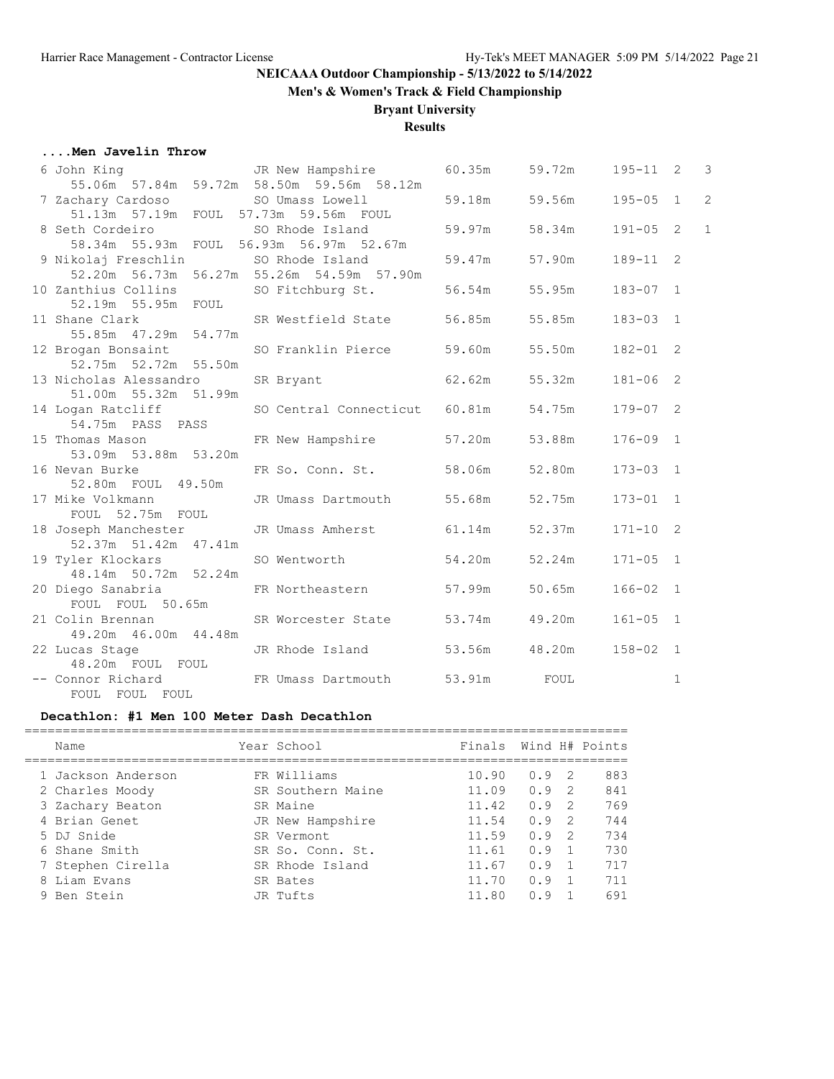**Men's & Women's Track & Field Championship**

### **Bryant University**

### **Results**

#### **....Men Javelin Throw**

| 6 John King                           JR New Hampshire |                                           | 60.35m | 59.72m | $195 - 11$ 2 |              | 3              |
|--------------------------------------------------------|-------------------------------------------|--------|--------|--------------|--------------|----------------|
| 55.06m 57.84m 59.72m 58.50m 59.56m 58.12m              |                                           |        |        |              |              |                |
| 7 Zachary Cardoso 50 Umass Lowell                      |                                           | 59.18m | 59.56m | $195 - 05$ 1 |              | $\overline{c}$ |
| 51.13m 57.19m FOUL 57.73m 59.56m FOUL                  |                                           |        |        |              |              |                |
| 8 Seth Cordeiro                                        | SO Rhode Island                           | 59.97m | 58.34m | $191 - 05$ 2 |              | $\mathbf{1}$   |
| 58.34m 55.93m FOUL 56.93m 56.97m 52.67m                |                                           |        |        |              |              |                |
| 9 Nikolaj Freschlin                                    | SO Rhode Island                           | 59.47m | 57.90m | 189-11 2     |              |                |
|                                                        | 52.20m 56.73m 56.27m 55.26m 54.59m 57.90m |        |        |              |              |                |
| 10 Zanthius Collins                                    | SO Fitchburg St.                          | 56.54m | 55.95m | $183 - 07$ 1 |              |                |
| 52.19m 55.95m FOUL                                     |                                           |        |        |              |              |                |
| 11 Shane Clark                                         | SR Westfield State                        | 56.85m | 55.85m | $183 - 03$ 1 |              |                |
| 55.85m  47.29m  54.77m                                 |                                           |        |        |              |              |                |
| 12 Brogan Bonsaint                                     | SO Franklin Pierce                        | 59.60m | 55.50m | $182 - 01$ 2 |              |                |
| 52.75m 52.72m 55.50m                                   |                                           |        |        |              |              |                |
| 13 Nicholas Alessandro                                 | SR Bryant                                 | 62.62m | 55.32m | $181 - 06$ 2 |              |                |
| 51.00m 55.32m 51.99m                                   |                                           |        |        |              |              |                |
| 14 Logan Ratcliff                                      | SO Central Connecticut 60.81m             |        | 54.75m | $179 - 07$ 2 |              |                |
| 54.75m PASS PASS                                       |                                           |        |        |              |              |                |
| 15 Thomas Mason FR New Hampshire                       |                                           | 57.20m | 53.88m | $176 - 09$ 1 |              |                |
| 53.09m 53.88m 53.20m                                   |                                           |        |        |              |              |                |
| 16 Nevan Burke                                         | FR So. Conn. St.                          | 58.06m | 52.80m | $173 - 03$ 1 |              |                |
| 52.80m FOUL 49.50m                                     |                                           |        |        |              |              |                |
| 17 Mike Volkmann                                       | JR Umass Dartmouth                        | 55.68m | 52.75m | $173 - 01$ 1 |              |                |
| FOUL 52.75m FOUL                                       |                                           |        |        |              |              |                |
| 18 Joseph Manchester                                   | JR Umass Amherst 61.14m                   |        | 52.37m | $171 - 10$ 2 |              |                |
| 52.37m 51.42m 47.41m                                   |                                           |        |        |              |              |                |
| 19 Tyler Klockars                                      | SO Wentworth                              | 54.20m | 52.24m | $171 - 05$ 1 |              |                |
| 48.14m 50.72m 52.24m                                   |                                           |        |        |              |              |                |
| 20 Diego Sanabria                                      | FR Northeastern                           | 57.99m | 50.65m | $166 - 02$ 1 |              |                |
| FOUL FOUL 50.65m                                       |                                           |        |        |              |              |                |
| 21 Colin Brennan                                       | SR Worcester State                        | 53.74m | 49.20m | $161 - 05$ 1 |              |                |
| 49.20m  46.00m  44.48m                                 |                                           |        |        |              |              |                |
| 22 Lucas Stage                                         | JR Rhode Island                           | 53.56m | 48.20m | $158 - 02$ 1 |              |                |
| 48.20m FOUL FOUL                                       |                                           |        |        |              |              |                |
| -- Connor Richard TR Umass Dartmouth                   |                                           | 53.91m | FOUL   |              | $\mathbf{1}$ |                |
| FOUL FOUL FOUL                                         |                                           |        |        |              |              |                |

### **Decathlon: #1 Men 100 Meter Dash Decathlon**

| Name               | Year School       | Finals Wind H# Points |     |               |     |
|--------------------|-------------------|-----------------------|-----|---------------|-----|
| 1 Jackson Anderson | FR Williams       | 10.90                 | 0.9 | -2            | 883 |
| 2 Charles Moody    | SR Southern Maine | 11.09                 | 0.9 | -2            | 841 |
| 3 Zachary Beaton   | SR Maine          | 11.42                 | 0.9 | $\mathcal{P}$ | 769 |
| 4 Brian Genet      | JR New Hampshire  | 11.54                 | 0.9 | $\mathcal{P}$ | 744 |
| 5 DJ Snide         | SR Vermont        | 11.59                 | 0.9 | -2            | 734 |
| 6 Shane Smith      | SR So. Conn. St.  | 11.61                 | 0.9 |               | 730 |
| Stephen Cirella    | SR Rhode Island   | 11.67                 | 0.9 |               | 717 |
| 8 Liam Evans       | SR Bates          | 11.70                 | 0.9 |               | 711 |
| 9 Ben Stein        | JR Tufts          | 11.80                 | n 9 |               | 691 |
|                    |                   |                       |     |               |     |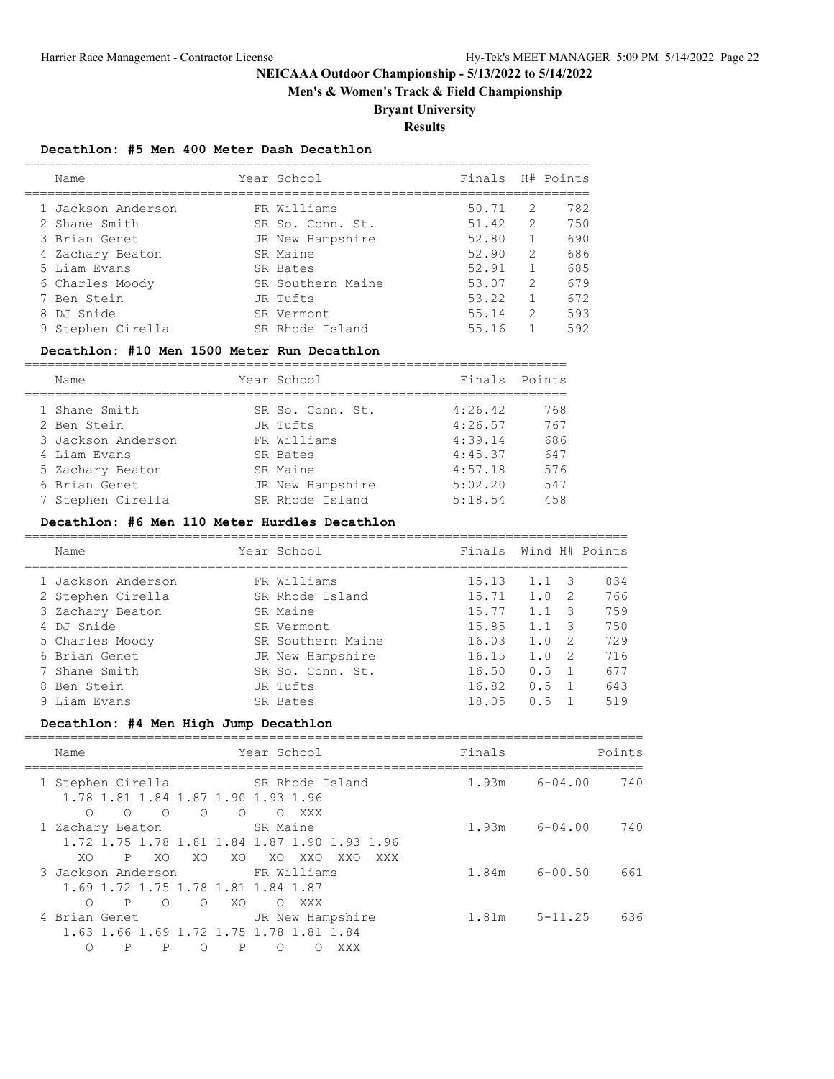**Men's & Women's Track & Field Championship**

# **Bryant University**

**Results**

#### **Decathlon: #5 Men 400 Meter Dash Decathlon**

|  | Name               | Year School       | Finals H# Points |               |     |
|--|--------------------|-------------------|------------------|---------------|-----|
|  | 1 Jackson Anderson | FR Williams       | 50.71            | 2             | 782 |
|  | 2 Shane Smith      | SR So. Conn. St.  | 51.42            | $\mathcal{L}$ | 750 |
|  | 3 Brian Genet      | JR New Hampshire  | 52.80            |               | 690 |
|  | 4 Zachary Beaton   | SR Maine          | 52.90            | $\mathcal{L}$ | 686 |
|  | 5 Liam Evans       | SR Bates          | 52.91            |               | 685 |
|  | 6 Charles Moody    | SR Southern Maine | 53.07            | $\mathcal{P}$ | 679 |
|  | 7 Ben Stein        | JR Tufts          | 53.22            |               | 672 |
|  | 8 DJ Snide         | SR Vermont        | 55.14            | $\mathcal{L}$ | 593 |
|  | 9 Stephen Cirella  | SR Rhode Island   | 55.16            |               | 592 |
|  |                    |                   |                  |               |     |

#### **Decathlon: #10 Men 1500 Meter Run Decathlon**

| Name               | Year School      | Finals  | Points |
|--------------------|------------------|---------|--------|
| 1 Shane Smith      | SR So. Conn. St. | 4:26.42 | 768    |
| 2 Ben Stein        | JR Tufts         | 4:26.57 | 767    |
| 3 Jackson Anderson | FR Williams      | 4:39.14 | 686    |
| 4 Liam Evans       | SR Bates         | 4:45.37 | 647    |
| 5 Zachary Beaton   | SR Maine         | 4:57.18 | 576    |
| 6 Brian Genet      | JR New Hampshire | 5:02.20 | 547    |
| 7 Stephen Cirella  | SR Rhode Island  | 5:18.54 | 458    |
|                    |                  |         |        |

#### **Decathlon: #6 Men 110 Meter Hurdles Decathlon**

| Name               | Year School       | Finals |             |               | Wind H# Points |
|--------------------|-------------------|--------|-------------|---------------|----------------|
| 1 Jackson Anderson | FR Williams       | 15.13  | 1.1         | -3            | 834            |
| 2 Stephen Cirella  | SR Rhode Island   | 15.71  | 1.0         | -2            | 766            |
| 3 Zachary Beaton   | SR Maine          | 15.77  | $1 \quad 1$ | $\mathcal{S}$ | 759            |
| 4 DJ Snide         | SR Vermont        | 15.85  | 1.1         |               | 750            |
| 5 Charles Moody    | SR Southern Maine | 16.03  | 1.0         | -2            | 729            |
| 6 Brian Genet      | JR New Hampshire  | 16.15  | 1.0         | - 2           | 716            |
| 7 Shane Smith      | SR So. Conn. St.  | 16.50  | 0.5         |               | 677            |
| 8 Ben Stein        | JR Tufts          | 16.82  | 0.5         |               | 643            |
| 9 Liam Evans       | SR Bates          | 18.05  | 0.5         |               | 519            |
|                    |                   |        |             |               |                |

### **Decathlon: #4 Men High Jump Decathlon**

| Name                                                                                                                        | Year School                        | Finals | Points             |
|-----------------------------------------------------------------------------------------------------------------------------|------------------------------------|--------|--------------------|
| 1 Stephen Cirella<br>1.78 1.81 1.84 1.87 1.90 1.93 1.96<br>$\bigcirc$<br>$\bigcirc$<br>$\bigcirc$<br>$\bigcirc$<br>$\Omega$ | SR Rhode Island<br>XXX<br>$\Omega$ | 1.93m  | 740<br>$6 - 04.00$ |
| 1 Zachary Beaton<br>1.72 1.75 1.78 1.81 1.84 1.87 1.90 1.93 1.96<br>P<br>XO<br>XO.<br>XO.<br>XO.                            | SR Maine<br>XO XXO<br>XXO<br>XXX   | 1.93m  | $6 - 04.00$<br>740 |
| 3 Jackson Anderson<br>1.69 1.72 1.75 1.78 1.81 1.84 1.87<br>P<br>$\bigcirc$<br>XO.<br>∩<br>$\cap$                           | FR Williams<br>XXX<br>$\Omega$     | 1.84m  | $6 - 00.50$<br>661 |
| 4 Brian Genet<br>1.63 1.66 1.69 1.72 1.75 1.78 1.81 1.84<br>∩<br>P<br>P<br>Ρ<br>∩                                           | JR New Hampshire<br>∩<br>XXX       | 1.81m  | 636<br>$5 - 11.25$ |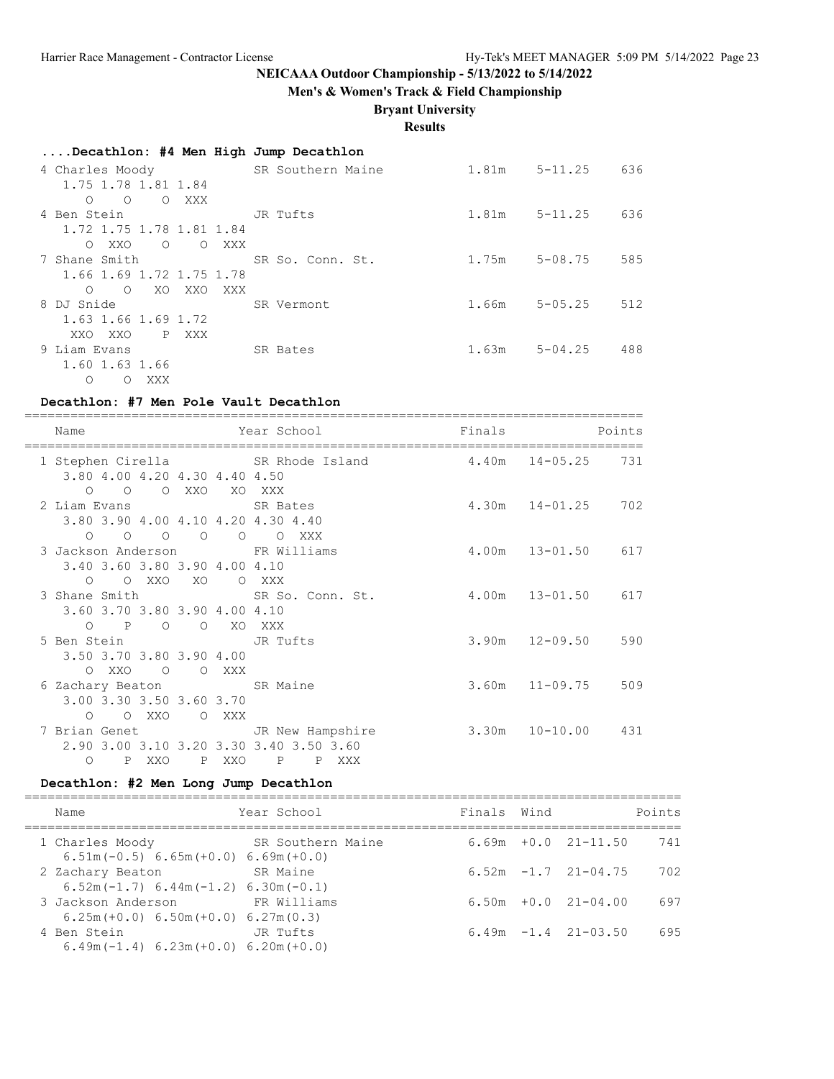**Men's & Women's Track & Field Championship**

### **Bryant University**

**Results**

| Decathlon: #4 Men High Jump Decathlon   |                   |                   |             |     |
|-----------------------------------------|-------------------|-------------------|-------------|-----|
| 4 Charles Moody                         | SR Southern Maine | 1.81m             | $5 - 11.25$ | 636 |
| 1.75 1.78 1.81 1.84                     |                   |                   |             |     |
| $\Omega$<br>O XXX<br>$\circ$            |                   |                   |             |     |
| 4 Ben Stein                             | JR Tufts          | $1.81m$ $5-11.25$ |             | 636 |
| 1.72 1.75 1.78 1.81 1.84                |                   |                   |             |     |
| $\circ$<br>O XXO<br>O XXX               |                   |                   |             |     |
| 7 Shane Smith                           | SR So. Conn. St.  | 1.75m             | $5 - 08.75$ | 585 |
| 1.66 1.69 1.72 1.75 1.78                |                   |                   |             |     |
| XO<br>XXO<br>$\circ$<br>XXX<br>$\Omega$ |                   |                   |             |     |
| 8 DJ Snide                              | SR Vermont        | 1.66m             | $5 - 05.25$ | 512 |
| 1.63 1.66 1.69 1.72                     |                   |                   |             |     |
| P XXX<br>XXO XXO                        |                   |                   |             |     |
| 9 Liam Evans                            | SR Bates          | 1.63m             | $5 - 04.25$ | 488 |
| 1.60 1.63 1.66                          |                   |                   |             |     |
| XXX<br>$\circ$<br>$\Omega$              |                   |                   |             |     |

#### **Decathlon: #7 Men Pole Vault Decathlon**

| Name                                                               |       |                                              |     | Year School                                                               | Finals                   |                        | Points |
|--------------------------------------------------------------------|-------|----------------------------------------------|-----|---------------------------------------------------------------------------|--------------------------|------------------------|--------|
| 3.80 4.00 4.20 4.30 4.40 4.50                                      |       |                                              |     | 1 Stephen Cirella SR Rhode Island                                         | 4.40m 14-05.25 731       |                        |        |
| $\circ$ $\circ$<br>2 Liam Evans SR Bates                           |       | O XXO XO XXX                                 |     | 3.80 3.90 4.00 4.10 4.20 4.30 4.40                                        |                          | 4.30m 14-01.25 702     |        |
| $\circ$ $\circ$<br>3.40 3.60 3.80 3.90 4.00 4.10                   |       | $\begin{matrix} 0 & 0 \\ 0 & 0 \end{matrix}$ |     | $\circ$<br>O XXX<br>3 Jackson Anderson FR Williams                        |                          | 4.00m 13-01.50 617     |        |
| O OXXO XO OXXX<br>3.60 3.70 3.80 3.90 4.00 4.10                    |       |                                              |     | 3 Shane Smith SR So. Conn. St.                                            | 4.00m 13-01.50 617       |                        |        |
| 0 P O O XO XXX<br>5 Ben Stein JR Tufts<br>3.50 3.70 3.80 3.90 4.00 |       |                                              |     |                                                                           |                          | $3.90m$ $12-09.50$ 590 |        |
| O XXO<br>6 Zachary Beaton SR Maine<br>3.00 3.30 3.50 3.60 3.70     |       | O OXXX                                       |     |                                                                           |                          | $3.60m$ $11-09.75$     | 509    |
| O O XXO                                                            |       | O XXX                                        |     | 7 Brian Genet TR New Hampshire<br>2.90 3.00 3.10 3.20 3.30 3.40 3.50 3.60 | $3.30m$ $10-10.00$ $431$ |                        |        |
| $\circ$                                                            | P XXO | $\mathbb{P}$                                 | XXO | P<br>P<br>XXX                                                             |                          |                        |        |

### **Decathlon: #2 Men Long Jump Decathlon**

| Name                                                           | Year School       | Finals Wind |                            | Points |
|----------------------------------------------------------------|-------------------|-------------|----------------------------|--------|
| 1 Charles Moody<br>$6.51m(-0.5) 6.65m(+0.0) 6.69m(+0.0)$       | SR Southern Maine |             | $6.69m + 0.0$ $21-11.50$   | 741    |
| 2 Zachary Beaton<br>$6.52m(-1.7) 6.44m(-1.2) 6.30m(-0.1)$      | SR Maine          |             | $6.52m -1.7$ 21-04.75      | 702    |
| 3 Jackson Anderson<br>$6.25m (+0.0) 6.50m (+0.0) 6.27m (0.3)$  | FR Williams       |             | $6.50m + 0.0$ $21-04.00$   | 697    |
| 4 Ben Stein<br>$6.49$ m $(-1.4)$ 6.23m $(+0.0)$ 6.20m $(+0.0)$ | JR Tufts          |             | $6.49m - 1.4$ $21 - 03.50$ | 695    |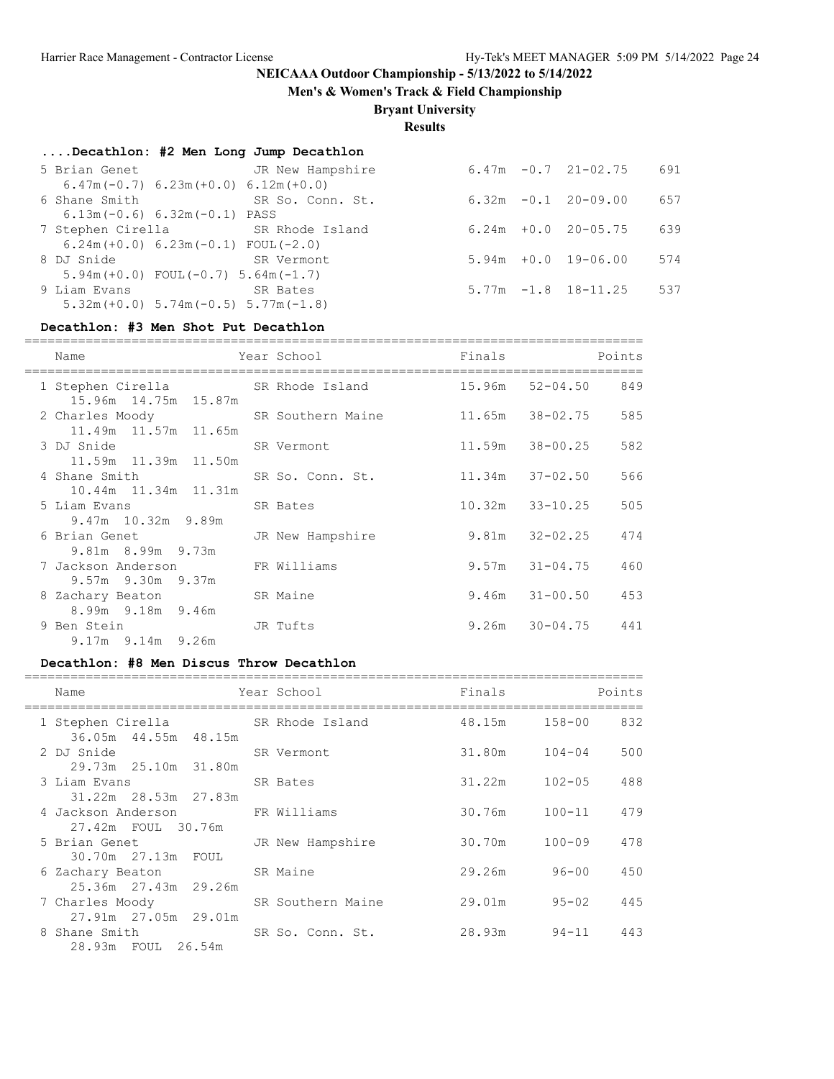**Men's & Women's Track & Field Championship**

# **Bryant University**

**Results**

| Decathlon: #2 Men Long Jump Decathlon |  |  |  |  |
|---------------------------------------|--|--|--|--|
|---------------------------------------|--|--|--|--|

| 5 Brian Genet 6 JR New Hampshire            |            |  | $6.47m - 0.7$ 21-02.75   | 691 |
|---------------------------------------------|------------|--|--------------------------|-----|
| $6.47m(-0.7) 6.23m(+0.0) 6.12m(+0.0)$       |            |  |                          |     |
| 6 Shane Smith SR So. Conn. St.              |            |  | $6.32m -0.1$ 20-09.00    | 657 |
| $6.13m(-0.6) 6.32m(-0.1) PASS$              |            |  |                          |     |
| 7 Stephen Cirella SR Rhode Island           |            |  | $6.24m + 0.0$ 20-05.75   | 639 |
| $6.24m (+0.0) 6.23m (-0.1) F0UL (-2.0)$     |            |  |                          |     |
| 8 DJ Snide                                  | SR Vermont |  | $5.94m + 0.0 19 - 06.00$ | 574 |
| $5.94m (+0.0)$ FOUL $(-0.7)$ 5.64m $(-1.7)$ |            |  |                          |     |
| 9 Liam Evans                                | SR Bates   |  | $5.77m - 1.8$ 18-11.25   | 537 |
| $5.32m (+0.0) 5.74m (-0.5) 5.77m (-1.8)$    |            |  |                          |     |

#### **Decathlon: #3 Men Shot Put Decathlon**

| Name                                                      | Year School      | Finals          | Points                     |
|-----------------------------------------------------------|------------------|-----------------|----------------------------|
| 1 Stephen Cirella                                         | SR Rhode Island  |                 | 15.96m 52-04.50 849        |
| 15.96m 14.75m 15.87m<br>2 Charles Moody SR Southern Maine |                  | 11.65m 38-02.75 | 585                        |
| 11.49m 11.57m 11.65m                                      |                  |                 |                            |
| 3 DJ Snide                                                | SR Vermont       |                 | 582<br>11.59m 38-00.25     |
| 11.59m 11.39m 11.50m                                      |                  |                 |                            |
| 4 Shane Smith 1988<br>10.44m 11.34m 11.31m                | SR So. Conn. St. |                 | $11.34m$ $37-02.50$<br>566 |
| 5 Liam Evans                                              | SR Bates         |                 | 505<br>$10.32m$ $33-10.25$ |
| $9.47m$ 10.32m $9.89m$                                    |                  |                 |                            |
| 6 Brian Genet                                             | JR New Hampshire |                 | $9.81m$ $32-02.25$<br>474  |
| 9.81m 8.99m 9.73m<br>7 Jackson Anderson FR Williams       |                  |                 | $9.57m$ $31-04.75$<br>460  |
| $9.57m$ 9.30m 9.37m                                       |                  |                 |                            |
| 8 Zachary Beaton                                          | SR Maine         |                 | $9.46m$ $31-00.50$<br>453  |
| 8.99m 9.18m 9.46m                                         |                  |                 |                            |
| 9 Ben Stein                                               | JR Tufts         |                 | $9.26m$ $30-04.75$ $441$   |
| $9.17m$ $9.14m$ $9.26m$                                   |                  |                 |                            |

#### **Decathlon: #8 Men Discus Throw Decathlon**

| Name                              | Year School       | Finals        | Points            |
|-----------------------------------|-------------------|---------------|-------------------|
| 1 Stephen Cirella SR Rhode Island |                   | 48.15m 158-00 | 832               |
| 36.05m 44.55m 48.15m              |                   |               |                   |
| 2 DJ Snide                        | SR Vermont        | 31.80m 104-04 | 500               |
| 29.73m 25.10m 31.80m              |                   |               |                   |
| 3 Liam Evans                      | SR Bates          | 31.22m        | 488<br>102-05     |
| 31.22m 28.53m 27.83m              |                   |               |                   |
| 4 Jackson Anderson                | FR Williams       | 30.76m        | $100 - 11$<br>479 |
| 27.42m FOUL 30.76m                |                   |               |                   |
| 5 Brian Genet 5 JR New Hampshire  |                   | 30.70m        | $100 - 09$<br>478 |
| 30.70m 27.13m FOUL                |                   |               |                   |
| 6 Zachary Beaton SR Maine         |                   | 29.26m        | 450<br>$96 - 00$  |
| 25.36m 27.43m 29.26m              |                   |               |                   |
| 7 Charles Moody Theory            | SR Southern Maine | 29.01m        | $95 - 02$<br>445  |
| 27.91m 27.05m 29.01m              |                   |               |                   |
| 8 Shane Smith                     | SR So. Conn. St.  | 28.93m        | 94-11<br>443      |
| 28.93m FOUL 26.54m                |                   |               |                   |
|                                   |                   |               |                   |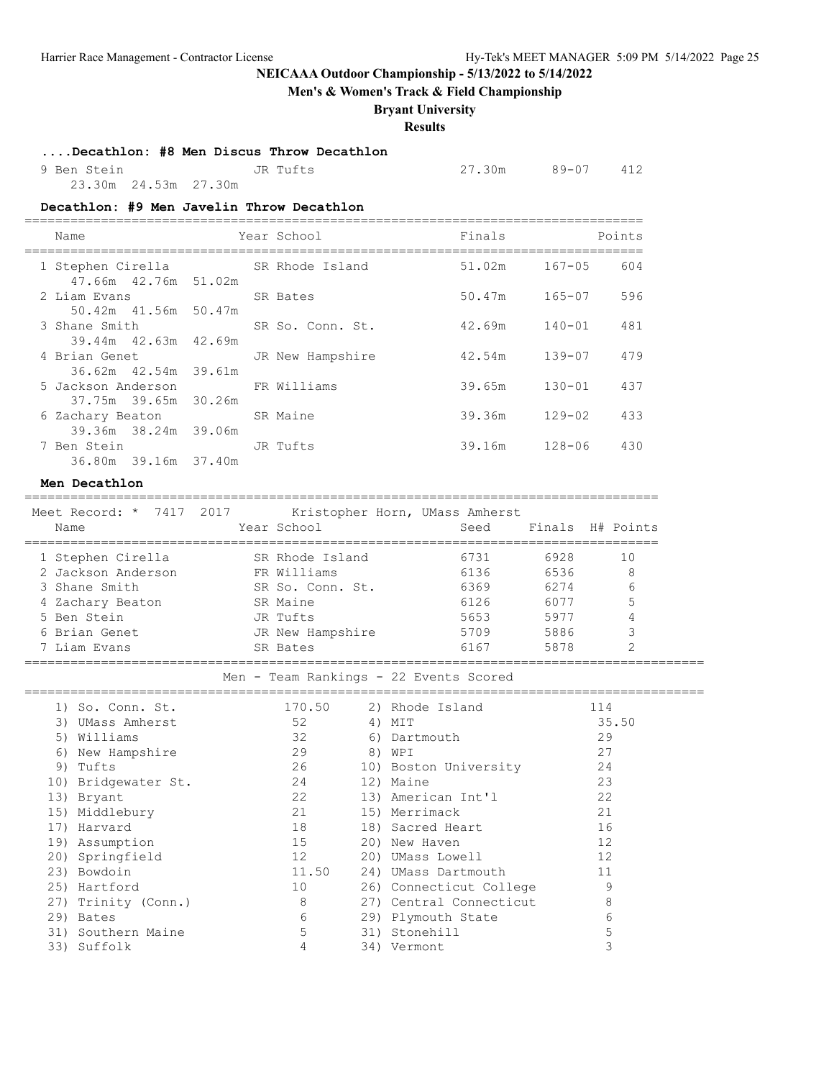**Men's & Women's Track & Field Championship**

### **Bryant University**

**Results**

#### **....Decathlon: #8 Men Discus Throw Decathlon**

 9 Ben Stein JR Tufts 27.30m 89-07 412 23.30m 24.53m 27.30m

#### **Decathlon: #9 Men Javelin Throw Decathlon**

| Name                                       | Year School      | Finals | Points            |
|--------------------------------------------|------------------|--------|-------------------|
| 1 Stephen Cirella<br>47.66m 42.76m 51.02m  | SR Rhode Island  | 51.02m | 167-05<br>604     |
| 2 Liam Evans<br>50.42m 41.56m 50.47m       | SR Bates         | 50.47m | $165 - 07$<br>596 |
| 3 Shane Smith                              | SR So. Conn. St. | 42.69m | 140-01<br>481     |
| 39.44m 42.63m 42.69m<br>4 Brian Genet      | JR New Hampshire | 42.54m | $139 - 07$<br>479 |
| 36.62m 42.54m 39.61m<br>5 Jackson Anderson | FR Williams      | 39.65m | $130 - 01$<br>437 |
| 37.75m 39.65m 30.26m                       |                  |        |                   |
| 6 Zachary Beaton<br>39.36m 38.24m 39.06m   | SR Maine         | 39.36m | $129 - 02$<br>433 |
| 7 Ben Stein<br>36.80m 39.16m 37.40m        | JR Tufts         | 39.16m | $128 - 06$<br>430 |

#### **Men Decathlon**

=================================================================================== Meet Record:  $\star$  7417 2017 Kristopher Horn, UMass Amherst

| MICCL INCLUIT<br>/ ∟ ∪ ⊥ / ⊥ ⊥ /<br>Name | KIISCOPHEI HOIH, OMASS AMMEISC<br>Year School | Seed |      | Finals H# Points |
|------------------------------------------|-----------------------------------------------|------|------|------------------|
| 1 Stephen Cirella                        | SR Rhode Island                               | 6731 | 6928 | 10               |
| 2 Jackson Anderson                       | FR Williams                                   | 6136 | 6536 | 8                |
| 3 Shane Smith                            | SR So. Conn. St.                              | 6369 | 6274 | 6                |
| 4 Zachary Beaton                         | SR Maine                                      | 6126 | 6077 | 5                |
| 5 Ben Stein                              | JR Tufts                                      | 5653 | 5977 | 4                |
| 6 Brian Genet                            | JR New Hampshire                              | 5709 | 5886 | 3                |
| 7 Liam Evans                             | SR Bates                                      | 6167 | 5878 |                  |

#### ========================================================================================= Men - Team Rankings - 22 Events Scored

|     | 1) So. Conn. St.    | 170.50 |    | 2) Rhode Island         | 114   |
|-----|---------------------|--------|----|-------------------------|-------|
| 3)  | UMass Amherst       | 52     | 4) | MIT                     | 35.50 |
| 5)  | Williams            | 32     | 6) | Dartmouth               | 29    |
| 6)  | New Hampshire       | 29     | 8) | WPI                     | 27    |
| 9)  | Tufts               | 26     |    | 10) Boston University   | 24    |
|     | 10) Bridgewater St. | 24     |    | 12) Maine               | 23    |
|     | 13) Bryant          | 22     |    | 13) American Int'l      | 22    |
|     | 15) Middlebury      | 21     |    | 15) Merrimack           | 21    |
| 17) | Harvard             | 18     |    | 18) Sacred Heart        | 16    |
|     | 19) Assumption      | 15     |    | 20) New Haven           | 12    |
|     | 20) Springfield     | 12     |    | 20) UMass Lowell        | 12    |
|     | 23) Bowdoin         | 11.50  |    | 24) UMass Dartmouth     | 11    |
|     | 25) Hartford        | 10     |    | 26) Connecticut College | 9     |
|     | 27) Trinity (Conn.) | 8      |    | 27) Central Connecticut | 8     |
|     | 29) Bates           | 6      |    | 29) Plymouth State      | 6     |
|     | 31) Southern Maine  | 5      |    | 31) Stonehill           | 5     |
|     | 33) Suffolk         | 4      |    | 34) Vermont             |       |